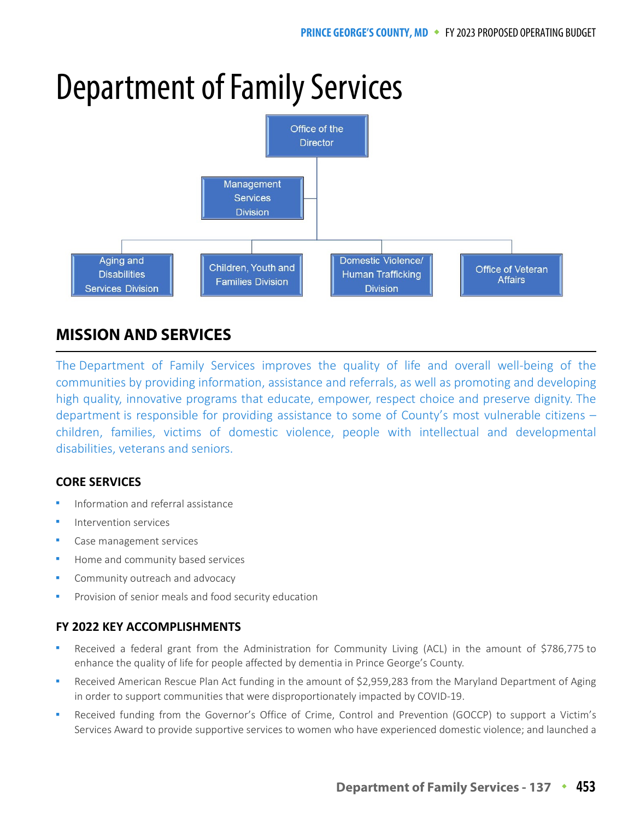# Department of Family Services



# **MISSION AND SERVICES**

The Department of Family Services improves the quality of life and overall well-being of the communities by providing information, assistance and referrals, as well as promoting and developing high quality, innovative programs that educate, empower, respect choice and preserve dignity. The department is responsible for providing assistance to some of County's most vulnerable citizens – children, families, victims of domestic violence, people with intellectual and developmental disabilities, veterans and seniors.

## **CORE SERVICES**

- Information and referral assistance
- Intervention services
- Case management services
- Home and community based services
- Community outreach and advocacy
- Provision of senior meals and food security education

## **FY 2022 KEY ACCOMPLISHMENTS**

- Received a federal grant from the Administration for Community Living (ACL) in the amount of \$786,775 to enhance the quality of life for people affected by dementia in Prince George's County.
- Received American Rescue Plan Act funding in the amount of \$2,959,283 from the Maryland Department of Aging in order to support communities that were disproportionately impacted by COVID-19.
- Received funding from the Governor's Office of Crime, Control and Prevention (GOCCP) to support a Victim's Services Award to provide supportive services to women who have experienced domestic violence; and launched a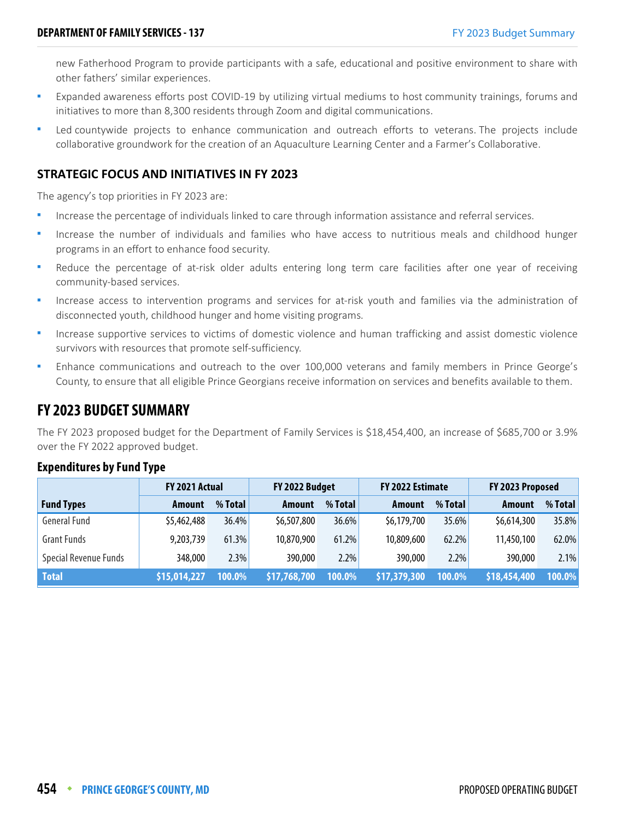new Fatherhood Program to provide participants with a safe, educational and positive environment to share with other fathers' similar experiences.

- Expanded awareness efforts post COVID-19 by utilizing virtual mediums to host community trainings, forums and initiatives to more than 8,300 residents through Zoom and digital communications.
- Led countywide projects to enhance communication and outreach efforts to veterans. The projects include collaborative groundwork for the creation of an Aquaculture Learning Center and a Farmer's Collaborative.

## **STRATEGIC FOCUS AND INITIATIVES IN FY 2023**

The agency's top priorities in FY 2023 are:

- Increase the percentage of individuals linked to care through information assistance and referral services.
- Increase the number of individuals and families who have access to nutritious meals and childhood hunger programs in an effort to enhance food security.
- Reduce the percentage of at-risk older adults entering long term care facilities after one year of receiving community-based services.
- Increase access to intervention programs and services for at-risk youth and families via the administration of disconnected youth, childhood hunger and home visiting programs.
- Increase supportive services to victims of domestic violence and human trafficking and assist domestic violence survivors with resources that promote self-sufficiency.
- Enhance communications and outreach to the over 100,000 veterans and family members in Prince George's County, to ensure that all eligible Prince Georgians receive information on services and benefits available to them.

## **FY 2023 BUDGET SUMMARY**

The FY 2023 proposed budget for the Department of Family Services is \$18,454,400, an increase of \$685,700 or 3.9% over the FY 2022 approved budget.

|                       | FY 2021 Actual |           | FY 2022 Budget |         | FY 2022 Estimate |          | FY 2023 Proposed |          |
|-----------------------|----------------|-----------|----------------|---------|------------------|----------|------------------|----------|
| <b>Fund Types</b>     | Amount         | $%$ Total | Amount         | % Total | Amount           | % Total  | Amount           | % Total  |
| <b>General Fund</b>   | \$5,462,488    | 36.4%     | \$6,507,800    | 36.6%   | \$6,179,700      | $35.6\%$ | \$6,614,300      | 35.8%    |
| <b>Grant Funds</b>    | 9,203,739      | $61.3\%$  | 10,870,900     | 61.2%   | 10,809,600       | 62.2%    | 11,450,100       | $62.0\%$ |
| Special Revenue Funds | 348,000        | 2.3%      | 390,000        | 2.2%    | 390,000          | 2.2%     | 390,000          | 2.1%     |
| <b>Total</b>          | \$15,014,227   | 100.0%    | \$17,768,700   | 100.0%  | \$17,379,300     | 100.0%   | \$18,454,400     | 100.0%   |

## **Expenditures by Fund Type**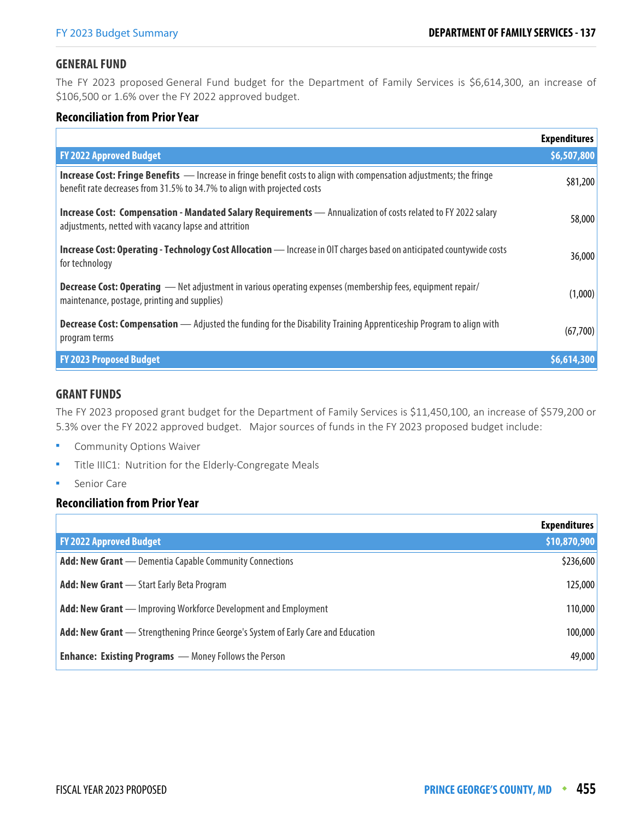## **GENERAL FUND**

The FY 2023 proposed General Fund budget for the Department of Family Services is \$6,614,300, an increase of \$106,500 or 1.6% over the FY 2022 approved budget.

## **Reconciliation from Prior Year**

|                                                                                                                                                                                                         | <b>Expenditures</b> |
|---------------------------------------------------------------------------------------------------------------------------------------------------------------------------------------------------------|---------------------|
| <b>FY 2022 Approved Budget</b>                                                                                                                                                                          | \$6,507,800         |
| <b>Increase Cost: Fringe Benefits</b> — Increase in fringe benefit costs to align with compensation adjustments; the fringe<br>benefit rate decreases from 31.5% to 34.7% to align with projected costs | \$81,200            |
| Increase Cost: Compensation - Mandated Salary Requirements - Annualization of costs related to FY 2022 salary<br>adjustments, netted with vacancy lapse and attrition                                   | 58,000              |
| Increase Cost: Operating - Technology Cost Allocation - Increase in OIT charges based on anticipated countywide costs<br>for technology                                                                 | 36,000              |
| <b>Decrease Cost: Operating</b> - Net adjustment in various operating expenses (membership fees, equipment repair/<br>maintenance, postage, printing and supplies)                                      | (1,000)             |
| <b>Decrease Cost: Compensation</b> — Adjusted the funding for the Disability Training Apprenticeship Program to align with<br>program terms                                                             | (67,700)            |
| <b>FY 2023 Proposed Budget</b>                                                                                                                                                                          | \$6,614,300         |

#### **GRANT FUNDS**

The FY 2023 proposed grant budget for the Department of Family Services is \$11,450,100, an increase of \$579,200 or 5.3% over the FY 2022 approved budget. Major sources of funds in the FY 2023 proposed budget include:

- Community Options Waiver
- Title IIIC1: Nutrition for the Elderly-Congregate Meals
- Senior Care

## **Reconciliation from Prior Year**

|                                                                                          | <b>Expenditures</b> |
|------------------------------------------------------------------------------------------|---------------------|
| <b>FY 2022 Approved Budget</b>                                                           | \$10,870,900        |
| <b>Add: New Grant</b> — Dementia Capable Community Connections                           | \$236,600           |
| <b>Add: New Grant</b> - Start Early Beta Program                                         | 125,000             |
| <b>Add: New Grant</b> — Improving Workforce Development and Employment                   | 110,000             |
| <b>Add: New Grant</b> — Strengthening Prince George's System of Early Care and Education | 100,000             |
| <b>Enhance: Existing Programs</b> - Money Follows the Person                             | 49,000              |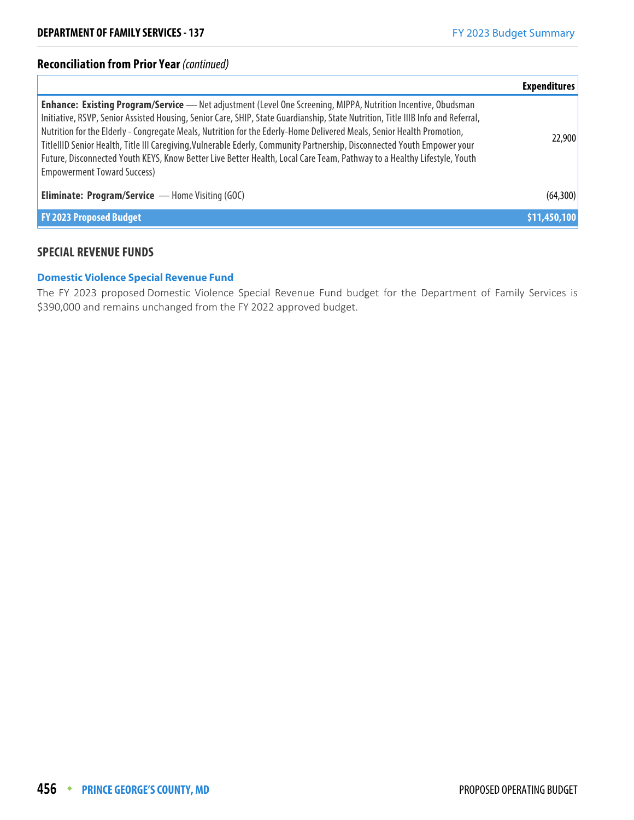## **Reconciliation from Prior Year** (continued)

|                                                                                                                                                                                                                                                                                                                                                                                                                                                                                                                                                                                                                                                                                | <b>Expenditures</b> |
|--------------------------------------------------------------------------------------------------------------------------------------------------------------------------------------------------------------------------------------------------------------------------------------------------------------------------------------------------------------------------------------------------------------------------------------------------------------------------------------------------------------------------------------------------------------------------------------------------------------------------------------------------------------------------------|---------------------|
| <b>Enhance: Existing Program/Service</b> — Net adjustment (Level One Screening, MIPPA, Nutrition Incentive, Obudsman<br>Initiative, RSVP, Senior Assisted Housing, Senior Care, SHIP, State Guardianship, State Nutrition, Title IIIB Info and Referral,<br>Nutrition for the Elderly - Congregate Meals, Nutrition for the Ederly-Home Delivered Meals, Senior Health Promotion,<br>TitlellID Senior Health, Title III Caregiving, Vulnerable Ederly, Community Partnership, Disconnected Youth Empower your<br>Future, Disconnected Youth KEYS, Know Better Live Better Health, Local Care Team, Pathway to a Healthy Lifestyle, Youth<br><b>Empowerment Toward Success)</b> | 22,900              |
| <b>Eliminate: Program/Service</b> - Home Visiting (GOC)                                                                                                                                                                                                                                                                                                                                                                                                                                                                                                                                                                                                                        | (64, 300)           |
| <b>FY 2023 Proposed Budget</b>                                                                                                                                                                                                                                                                                                                                                                                                                                                                                                                                                                                                                                                 | \$11,450,100        |

## **SPECIAL REVENUE FUNDS**

#### **Domestic Violence Special Revenue Fund**

The FY 2023 proposed Domestic Violence Special Revenue Fund budget for the Department of Family Services is \$390,000 and remains unchanged from the FY 2022 approved budget.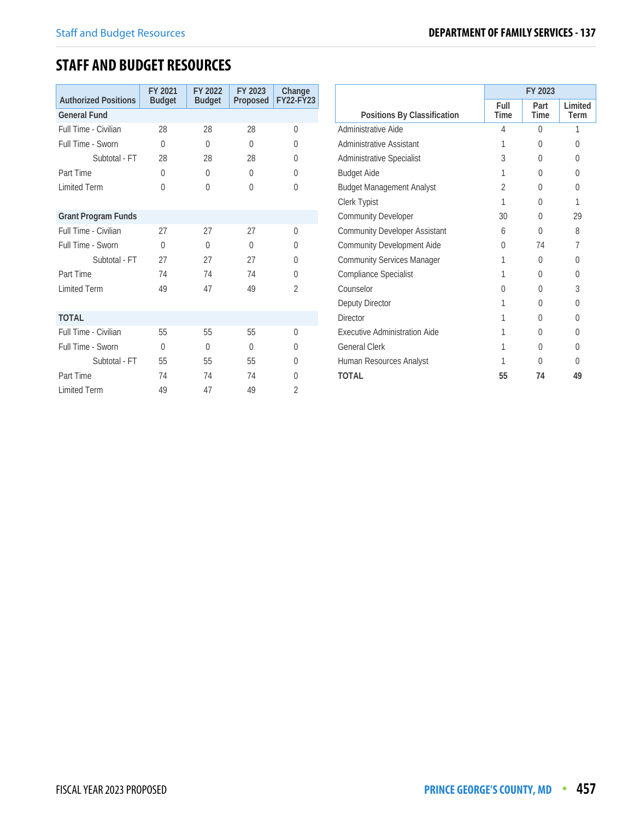# **STAFF AND BUDGET RESOURCES**

| <b>Authorized Positions</b> | FY 2021<br><b>Budget</b> | FY 2022<br><b>Budget</b> | FY 2023<br>Proposed | Change<br><b>FY22-FY23</b> |
|-----------------------------|--------------------------|--------------------------|---------------------|----------------------------|
| <b>General Fund</b>         |                          |                          |                     |                            |
| Full Time - Civilian        | 28                       | 28                       | 28                  | $\Omega$                   |
| Full Time - Sworn           | $\Omega$                 | $\Omega$                 | $\Omega$            | $\Omega$                   |
| Subtotal - FT               | 28                       | 28                       | 28                  | $\Omega$                   |
| Part Time                   | $\theta$                 | $\Omega$                 | $\Omega$            | $\Omega$                   |
| <b>Limited Term</b>         | $\Omega$                 | $\Omega$                 | $\Omega$            | $\Omega$                   |
|                             |                          |                          |                     |                            |
| <b>Grant Program Funds</b>  |                          |                          |                     |                            |
| Full Time - Civilian        | 27                       | 27                       | 27                  | $\Omega$                   |
| Full Time - Sworn           | $\Omega$                 | $\bigcap$                | $\Omega$            | $\Omega$                   |
| Subtotal - FT               | 27                       | 27                       | 27                  | $\Omega$                   |
| Part Time                   | 74                       | 74                       | 74                  | $\Omega$                   |
| <b>Limited Term</b>         | 49                       | 47                       | 49                  | $\overline{2}$             |
|                             |                          |                          |                     |                            |
| <b>TOTAL</b>                |                          |                          |                     |                            |
| Full Time - Civilian        | 55                       | 55                       | 55                  | $\Omega$                   |
| Full Time - Sworn           | $\theta$                 | $\Omega$                 | $\Omega$            | $\Omega$                   |
| Subtotal - FT               | 55                       | 55                       | 55                  | $\Omega$                   |
| Part Time                   | 74                       | 74                       | 74                  | $\Omega$                   |
| <b>Limited Term</b>         | 49                       | 47                       | 49                  | $\overline{2}$             |

|                                      | FY 2023        |              |                 |  |
|--------------------------------------|----------------|--------------|-----------------|--|
| Positions By Classification          | Full<br>Time   | Part<br>Time | Limited<br>Term |  |
| Administrative Aide                  | 4              | $\Omega$     | 1               |  |
| Administrative Assistant             | 1              | 0            | 0               |  |
| Administrative Specialist            | 3              | U            | 0               |  |
| <b>Budget Aide</b>                   | 1              | 0            | 0               |  |
| <b>Budget Management Analyst</b>     | $\mathfrak{D}$ | U            | 0               |  |
| Clerk Typist                         | 1              | 0            | 1               |  |
| <b>Community Developer</b>           | 30             | <sup>0</sup> | 29              |  |
| <b>Community Developer Assistant</b> | 6              | <sup>0</sup> | 8               |  |
| <b>Community Development Aide</b>    | U              | 74           | 7               |  |
| <b>Community Services Manager</b>    | 1              | 0            | 0               |  |
| Compliance Specialist                | 1              | 0            | 0               |  |
| Counselor                            | U              | <sup>0</sup> | 3               |  |
| Deputy Director                      | 1              | 0            | U               |  |
| <b>Director</b>                      | 1              | U            | 0               |  |
| Executive Administration Aide        | 1              | 0            | 0               |  |
| <b>General Clerk</b>                 | 1              | 0            | 0               |  |
| Human Resources Analyst              | 1              | U            | U               |  |
| <b>TOTAL</b>                         | 55             | 74           | 49              |  |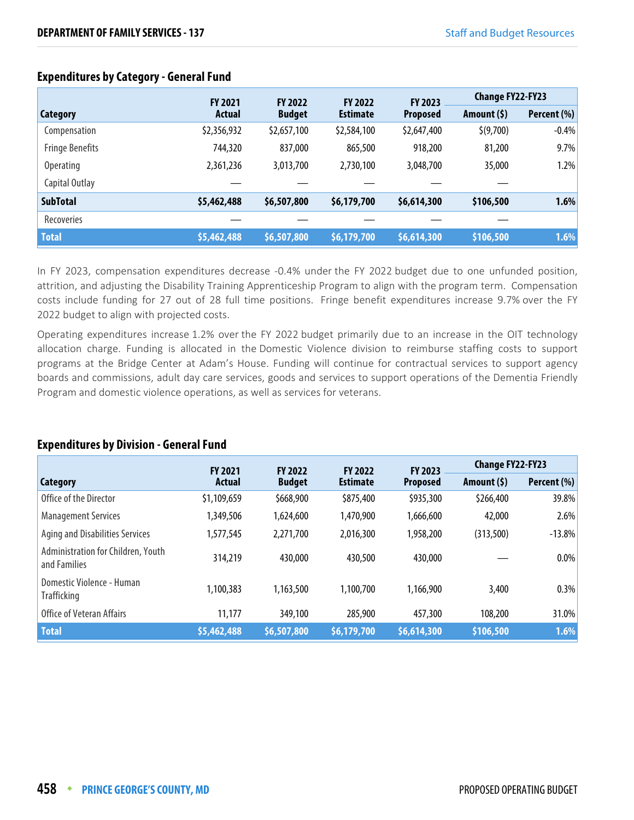|                        | <b>FY 2021</b> | <b>FY 2022</b> | <b>FY 2022</b>  | FY 2023         | <b>Change FY22-FY23</b> |             |
|------------------------|----------------|----------------|-----------------|-----------------|-------------------------|-------------|
| Category               | Actual         | <b>Budget</b>  | <b>Estimate</b> | <b>Proposed</b> | Amount $(5)$            | Percent (%) |
| Compensation           | \$2,356,932    | \$2,657,100    | \$2,584,100     | \$2,647,400     | \$(9,700)               | $-0.4%$     |
| <b>Fringe Benefits</b> | 744,320        | 837,000        | 865,500         | 918,200         | 81,200                  | 9.7%        |
| <b>Operating</b>       | 2,361,236      | 3,013,700      | 2,730,100       | 3,048,700       | 35,000                  | 1.2%        |
| Capital Outlay         |                |                |                 |                 |                         |             |
| <b>SubTotal</b>        | \$5,462,488    | \$6,507,800    | \$6,179,700     | \$6,614,300     | \$106,500               | 1.6%        |
| Recoveries             |                |                |                 |                 |                         |             |
| <b>Total</b>           | \$5,462,488    | \$6,507,800    | \$6,179,700     | \$6,614,300     | \$106,500               | 1.6%        |

## **Expenditures by Category - General Fund**

In FY 2023, compensation expenditures decrease -0.4% under the FY 2022 budget due to one unfunded position, attrition, and adjusting the Disability Training Apprenticeship Program to align with the program term. Compensation costs include funding for 27 out of 28 full time positions. Fringe benefit expenditures increase 9.7% over the FY 2022 budget to align with projected costs.

Operating expenditures increase 1.2% over the FY 2022 budget primarily due to an increase in the OIT technology allocation charge. Funding is allocated in the Domestic Violence division to reimburse staffing costs to support programs at the Bridge Center at Adam's House. Funding will continue for contractual services to support agency boards and commissions, adult day care services, goods and services to support operations of the Dementia Friendly Program and domestic violence operations, as well as services for veterans.

#### **Category FY 2021 Actual FY 2022 Budget FY 2022 Estimate FY 2023 Proposed Change FY22-FY23 Amount (\$) Percent (%)** Office of the Director **51,109,659** \$668,900 \$875,400 \$935,300 \$266,400 \$938% Management Services 1,349,506 1,624,600 1,470,900 1,666,600 42,000 2.6% Aging and Disabilities Services 1,577,545 2,271,700 2,016,300 1,958,200 (313,500) -13.8% Administration for Children, Youth Administration for Emidlen, Fourn 314,219 430,000 430,500 430,000 430,000 - 0.0% Domestic Violence - Human Trafficking 1,100,383 1,163,500 1,100,700 1,166,900 3,400 0.3% Office of Veteran Affairs 11,177 349,100 285,900 457,300 108,200 31.0% **Total \$5,462,488 \$6,507,800 \$6,179,700 \$6,614,300 \$106,500 1.6%**

## **Expenditures by Division - General Fund**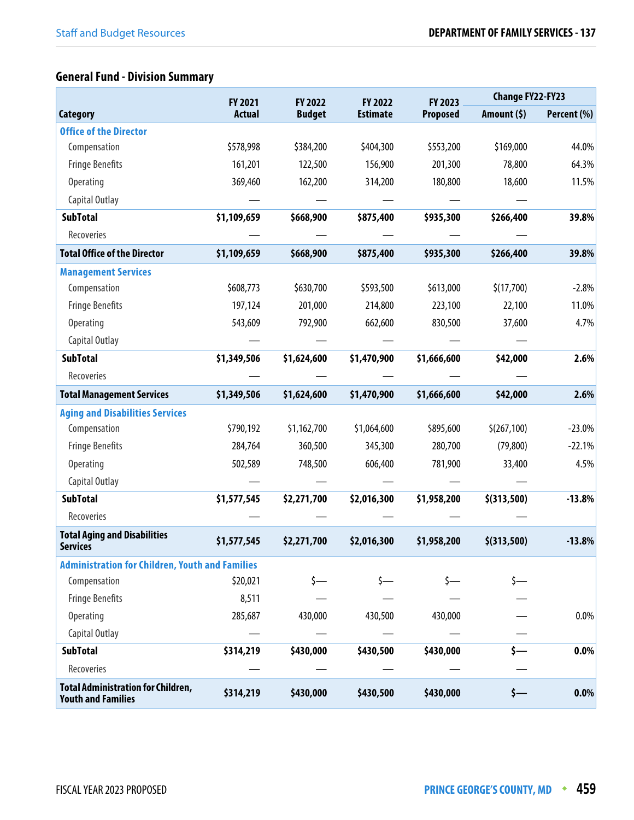# **General Fund - Division Summary**

|                                                                        | FY 2021       | FY 2022<br>FY 2022 |                 | FY 2023         | <b>Change FY22-FY23</b> |             |
|------------------------------------------------------------------------|---------------|--------------------|-----------------|-----------------|-------------------------|-------------|
| <b>Category</b>                                                        | <b>Actual</b> | <b>Budget</b>      | <b>Estimate</b> | <b>Proposed</b> | Amount $(5)$            | Percent (%) |
| <b>Office of the Director</b>                                          |               |                    |                 |                 |                         |             |
| Compensation                                                           | \$578,998     | \$384,200          | \$404,300       | \$553,200       | \$169,000               | 44.0%       |
| <b>Fringe Benefits</b>                                                 | 161,201       | 122,500            | 156,900         | 201,300         | 78,800                  | 64.3%       |
| Operating                                                              | 369,460       | 162,200            | 314,200         | 180,800         | 18,600                  | 11.5%       |
| Capital Outlay                                                         |               |                    |                 |                 |                         |             |
| <b>SubTotal</b>                                                        | \$1,109,659   | \$668,900          | \$875,400       | \$935,300       | \$266,400               | 39.8%       |
| Recoveries                                                             |               |                    |                 |                 |                         |             |
| <b>Total Office of the Director</b>                                    | \$1,109,659   | \$668,900          | \$875,400       | \$935,300       | \$266,400               | 39.8%       |
| <b>Management Services</b>                                             |               |                    |                 |                 |                         |             |
| Compensation                                                           | \$608,773     | \$630,700          | \$593,500       | \$613,000       | \$(17,700)              | $-2.8%$     |
| <b>Fringe Benefits</b>                                                 | 197,124       | 201,000            | 214,800         | 223,100         | 22,100                  | 11.0%       |
| <b>Operating</b>                                                       | 543,609       | 792,900            | 662,600         | 830,500         | 37,600                  | 4.7%        |
| Capital Outlay                                                         |               |                    |                 |                 |                         |             |
| <b>SubTotal</b>                                                        | \$1,349,506   | \$1,624,600        | \$1,470,900     | \$1,666,600     | \$42,000                | 2.6%        |
| Recoveries                                                             |               |                    |                 |                 |                         |             |
| <b>Total Management Services</b>                                       | \$1,349,506   | \$1,624,600        | \$1,470,900     | \$1,666,600     | \$42,000                | 2.6%        |
| <b>Aging and Disabilities Services</b>                                 |               |                    |                 |                 |                         |             |
| Compensation                                                           | \$790,192     | \$1,162,700        | \$1,064,600     | \$895,600       | \$(267,100)             | $-23.0%$    |
| <b>Fringe Benefits</b>                                                 | 284,764       | 360,500            | 345,300         | 280,700         | (79, 800)               | $-22.1%$    |
| <b>Operating</b>                                                       | 502,589       | 748,500            | 606,400         | 781,900         | 33,400                  | 4.5%        |
| Capital Outlay                                                         |               |                    |                 |                 |                         |             |
| <b>SubTotal</b>                                                        | \$1,577,545   | \$2,271,700        | \$2,016,300     | \$1,958,200     | $$$ (313,500)           | $-13.8%$    |
| Recoveries                                                             |               |                    |                 |                 |                         |             |
| <b>Total Aging and Disabilities</b><br><b>Services</b>                 | \$1,577,545   | \$2,271,700        | \$2,016,300     | \$1,958,200     | \$(313,500)             | $-13.8%$    |
| <b>Administration for Children, Youth and Families</b>                 |               |                    |                 |                 |                         |             |
| Compensation                                                           | \$20,021      |                    |                 |                 |                         |             |
| <b>Fringe Benefits</b>                                                 | 8,511         |                    |                 |                 |                         |             |
| <b>Operating</b>                                                       | 285,687       | 430,000            | 430,500         | 430,000         |                         | $0.0\%$     |
| Capital Outlay                                                         |               |                    |                 |                 |                         |             |
| <b>SubTotal</b>                                                        | \$314,219     | \$430,000          | \$430,500       | \$430,000       |                         | 0.0%        |
| Recoveries                                                             |               |                    |                 |                 |                         |             |
| <b>Total Administration for Children,</b><br><b>Youth and Families</b> | \$314,219     | \$430,000          | \$430,500       | \$430,000       | s—                      | 0.0%        |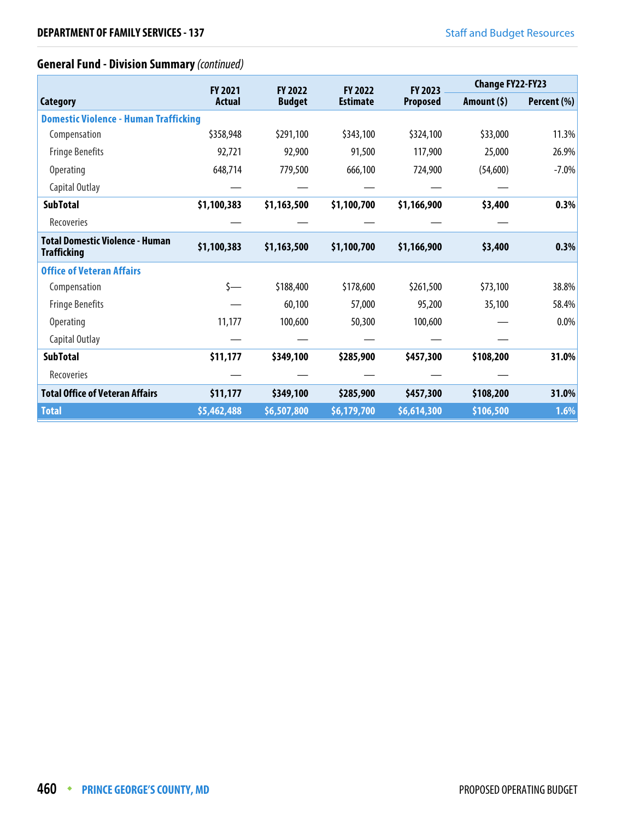## **General Fund - Division Summary** (continued)

|                                                       | <b>FY 2021</b> | <b>FY 2022</b> | <b>FY 2022</b>  | <b>FY 2023</b>  | <b>Change FY22-FY23</b> |             |
|-------------------------------------------------------|----------------|----------------|-----------------|-----------------|-------------------------|-------------|
| <b>Category</b>                                       | <b>Actual</b>  | <b>Budget</b>  | <b>Estimate</b> | <b>Proposed</b> | Amount $(5)$            | Percent (%) |
| <b>Domestic Violence - Human Trafficking</b>          |                |                |                 |                 |                         |             |
| Compensation                                          | \$358,948      | \$291,100      | \$343,100       | \$324,100       | \$33,000                | 11.3%       |
| <b>Fringe Benefits</b>                                | 92,721         | 92,900         | 91,500          | 117,900         | 25,000                  | 26.9%       |
| <b>Operating</b>                                      | 648,714        | 779,500        | 666,100         | 724,900         | (54,600)                | $-7.0%$     |
| Capital Outlay                                        |                |                |                 |                 |                         |             |
| <b>SubTotal</b>                                       | \$1,100,383    | \$1,163,500    | \$1,100,700     | \$1,166,900     | \$3,400                 | 0.3%        |
| Recoveries                                            |                |                |                 |                 |                         |             |
| Total Domestic Violence - Human<br><b>Trafficking</b> | \$1,100,383    | \$1,163,500    | \$1,100,700     | \$1,166,900     | \$3,400                 | 0.3%        |
| <b>Office of Veteran Affairs</b>                      |                |                |                 |                 |                         |             |
| Compensation                                          | \$—            | \$188,400      | \$178,600       | \$261,500       | \$73,100                | 38.8%       |
| <b>Fringe Benefits</b>                                |                | 60,100         | 57,000          | 95,200          | 35,100                  | 58.4%       |
| Operating                                             | 11,177         | 100,600        | 50,300          | 100,600         |                         | 0.0%        |
| Capital Outlay                                        |                |                |                 |                 |                         |             |
| <b>SubTotal</b>                                       | \$11,177       | \$349,100      | \$285,900       | \$457,300       | \$108,200               | 31.0%       |
| Recoveries                                            |                |                |                 |                 |                         |             |
| <b>Total Office of Veteran Affairs</b>                | \$11,177       | \$349,100      | \$285,900       | \$457,300       | \$108,200               | 31.0%       |
| <b>Total</b>                                          | \$5,462,488    | \$6,507,800    | \$6,179,700     | \$6,614,300     | \$106,500               | 1.6%        |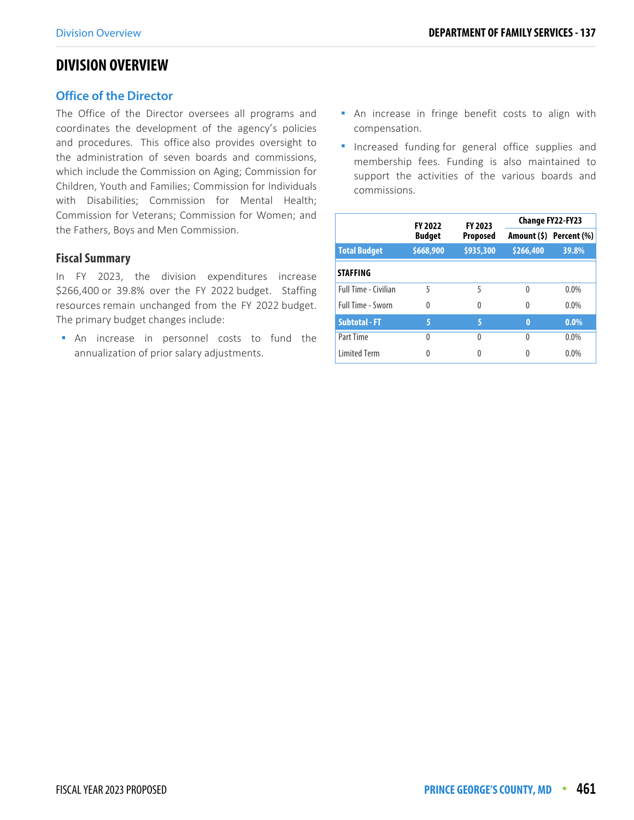## **DIVISION OVERVIEW**

## **Office of the Director**

The Office of the Director oversees all programs and coordinates the development of the agency's policies and procedures. This office also provides oversight to the administration of seven boards and commissions, which include the Commission on Aging; Commission for Children, Youth and Families; Commission for Individuals with Disabilities; Commission for Mental Health; Commission for Veterans; Commission for Women; and the Fathers, Boys and Men Commission.

## **Fiscal Summary**

In FY 2023, the division expenditures increase \$266,400 or 39.8% over the FY 2022 budget. Staffing resources remain unchanged from the FY 2022 budget. The primary budget changes include:

 An increase in personnel costs to fund the annualization of prior salary adjustments.

- **An increase in fringe benefit costs to align with** compensation.
- **Increased funding for general office supplies and** membership fees. Funding is also maintained to support the activities of the various boards and commissions.

|                             | <b>FY 2022</b> | FY 2023   | <b>Change FY22-FY23</b> |                         |  |
|-----------------------------|----------------|-----------|-------------------------|-------------------------|--|
|                             | <b>Budget</b>  | Proposed  |                         | Amount (\$) Percent (%) |  |
| <b>Total Budget</b>         | \$668,900      | \$935,300 | \$266,400               | 39.8%                   |  |
| <b>STAFFING</b>             |                |           |                         |                         |  |
| <b>Full Time - Civilian</b> | 5              | 5         | $\Omega$                | $0.0\%$                 |  |
| <b>Full Time - Sworn</b>    | $\Omega$       | 0         | $\Omega$                | 0.0%                    |  |
| <b>Subtotal - FT</b>        | 5              | 5         | $\bf{0}$                | $0.0\%$                 |  |
| Part Time                   | $\Omega$       | 0         | 0                       | $0.0\%$                 |  |
| <b>Limited Term</b>         |                |           | 0                       | $0.0\%$                 |  |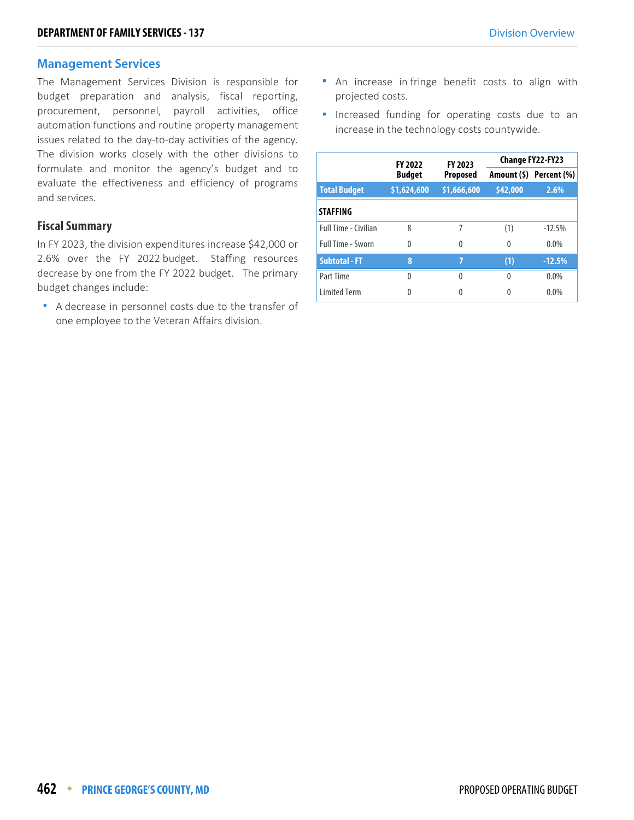#### **Management Services**

The Management Services Division is responsible for budget preparation and analysis, fiscal reporting, procurement, personnel, payroll activities, office automation functions and routine property management issues related to the day-to-day activities of the agency. The division works closely with the other divisions to formulate and monitor the agency's budget and to evaluate the effectiveness and efficiency of programs and services.

## **Fiscal Summary**

In FY 2023, the division expenditures increase \$42,000 or 2.6% over the FY 2022 budget. Staffing resources decrease by one from the FY 2022 budget. The primary budget changes include:

A decrease in personnel costs due to the transfer of one employee to the Veteran Affairs division.

- **An increase in fringe benefit costs to align with** projected costs.
- **Increased funding for operating costs due to an** increase in the technology costs countywide.

|                             | <b>FY 2022</b> | FY 2023     | <b>Change FY22-FY23</b> |                         |  |
|-----------------------------|----------------|-------------|-------------------------|-------------------------|--|
|                             | <b>Budget</b>  | Proposed    |                         | Amount (\$) Percent (%) |  |
| <b>Total Budget</b>         | \$1,624,600    | \$1,666,600 | \$42,000                | 2.6%                    |  |
| <b>STAFFING</b>             |                |             |                         |                         |  |
| <b>Full Time - Civilian</b> | 8              | 7           | (1)                     | $-12.5%$                |  |
| <b>Full Time - Sworn</b>    | $\Omega$       | 0           | $\Omega$                | $0.0\%$                 |  |
| <b>Subtotal - FT</b>        | 8              | 7           | (1)                     | $-12.5%$                |  |
| Part Time                   | $\Omega$       | 0           | 0                       | 0.0%                    |  |
| <b>Limited Term</b>         | Λ              |             |                         | 0.0%                    |  |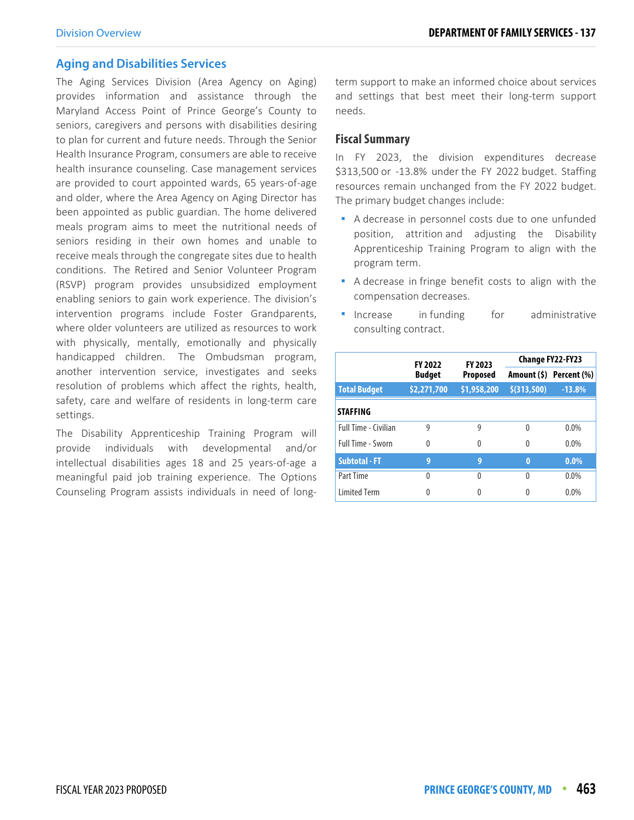## **Aging and Disabilities Services**

The Aging Services Division (Area Agency on Aging) provides information and assistance through the Maryland Access Point of Prince George's County to seniors, caregivers and persons with disabilities desiring to plan for current and future needs. Through the Senior Health Insurance Program, consumers are able to receive health insurance counseling. Case management services are provided to court appointed wards, 65 years-of-age and older, where the Area Agency on Aging Director has been appointed as public guardian. The home delivered meals program aims to meet the nutritional needs of seniors residing in their own homes and unable to receive meals through the congregate sites due to health conditions. The Retired and Senior Volunteer Program (RSVP) program provides unsubsidized employment enabling seniors to gain work experience. The division's intervention programs include Foster Grandparents, where older volunteers are utilized as resources to work with physically, mentally, emotionally and physically handicapped children. The Ombudsman program, another intervention service, investigates and seeks resolution of problems which affect the rights, health, safety, care and welfare of residents in long-term care settings.

The Disability Apprenticeship Training Program will provide individuals with developmental and/or intellectual disabilities ages 18 and 25 years-of-age a meaningful paid job training experience. The Options Counseling Program assists individuals in need of longterm support to make an informed choice about services and settings that best meet their long-term support needs.

#### **Fiscal Summary**

In FY 2023, the division expenditures decrease \$313,500 or -13.8% under the FY 2022 budget. Staffing resources remain unchanged from the FY 2022 budget. The primary budget changes include:

- A decrease in personnel costs due to one unfunded position, attrition and adjusting the Disability Apprenticeship Training Program to align with the program term.
- A decrease in fringe benefit costs to align with the compensation decreases.
- **Increase** in funding for administrative consulting contract.

|                      | <b>FY 2022</b> | FY 2023         | Change FY22-FY23 |                         |  |
|----------------------|----------------|-----------------|------------------|-------------------------|--|
|                      | <b>Budget</b>  | <b>Proposed</b> |                  | Amount (\$) Percent (%) |  |
| <b>Total Budget</b>  | \$2,271,700    | \$1,958,200     | \$(313,500)      | $-13.8%$                |  |
| <b>STAFFING</b>      |                |                 |                  |                         |  |
| Full Time - Civilian | 9              | 9               | 0                | 0.0%                    |  |
| Full Time - Sworn    | $\theta$       | 0               | 0                | $0.0\%$                 |  |
| <b>Subtotal - FT</b> | 9              | 9               | $\bf{0}$         | $0.0\%$                 |  |
| Part Time            | $\Omega$       | Λ               | $\Omega$         | 0.0%                    |  |
| <b>Limited Term</b>  | 0              |                 | 0                | $0.0\%$                 |  |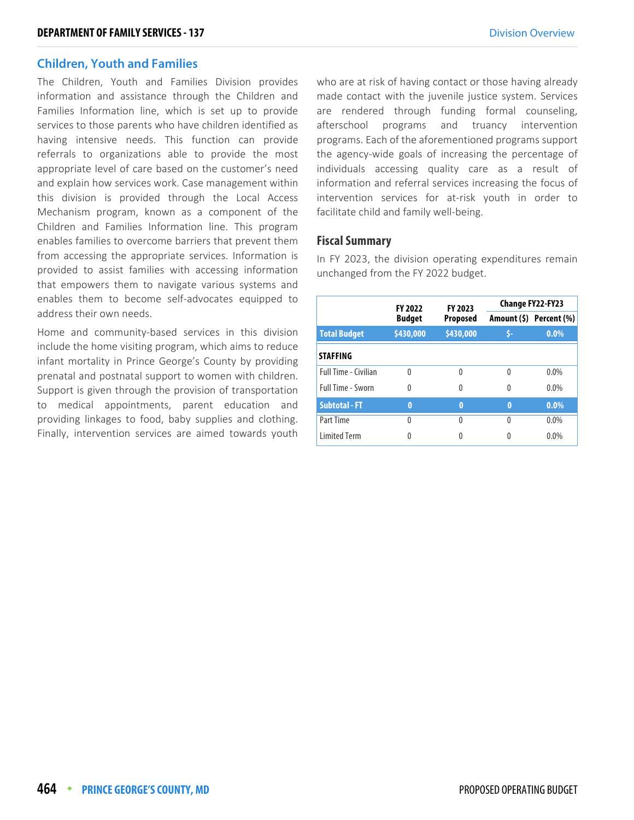## **Children, Youth and Families**

The Children, Youth and Families Division provides information and assistance through the Children and Families Information line, which is set up to provide services to those parents who have children identified as having intensive needs. This function can provide referrals to organizations able to provide the most appropriate level of care based on the customer's need and explain how services work. Case management within this division is provided through the Local Access Mechanism program, known as a component of the Children and Families Information line. This program enables families to overcome barriers that prevent them from accessing the appropriate services. Information is provided to assist families with accessing information that empowers them to navigate various systems and enables them to become self-advocates equipped to address their own needs.

Home and community-based services in this division include the home visiting program, which aims to reduce infant mortality in Prince George's County by providing prenatal and postnatal support to women with children. Support is given through the provision of transportation to medical appointments, parent education and providing linkages to food, baby supplies and clothing. Finally, intervention services are aimed towards youth who are at risk of having contact or those having already made contact with the juvenile justice system. Services are rendered through funding formal counseling, afterschool programs and truancy intervention programs. Each of the aforementioned programs support the agency-wide goals of increasing the percentage of individuals accessing quality care as a result of information and referral services increasing the focus of intervention services for at-risk youth in order to facilitate child and family well-being.

#### **Fiscal Summary**

In FY 2023, the division operating expenditures remain unchanged from the FY 2022 budget.

|                             |               | <b>FY 2023</b><br><b>FY 2022</b> |          | <b>Change FY22-FY23</b> |  |  |
|-----------------------------|---------------|----------------------------------|----------|-------------------------|--|--|
|                             | <b>Budget</b> | <b>Proposed</b>                  |          | Amount (\$) Percent (%) |  |  |
| <b>Total Budget</b>         | \$430,000     | \$430,000                        |          | $0.0\%$                 |  |  |
| <b>STAFFING</b>             |               |                                  |          |                         |  |  |
| <b>Full Time - Civilian</b> | $\Omega$      | $\Omega$                         | $\Omega$ | $0.0\%$                 |  |  |
| <b>Full Time - Sworn</b>    | $\Omega$      | 0                                | 0        | $0.0\%$                 |  |  |
| <b>Subtotal - FT</b>        | $\bf{0}$      | $\bf{0}$                         | $\bf{0}$ | $0.0\%$                 |  |  |
| Part Time                   | $\Omega$      | 0                                | $\Omega$ | $0.0\%$                 |  |  |
| <b>Limited Term</b>         | 0             |                                  | 0        | $0.0\%$                 |  |  |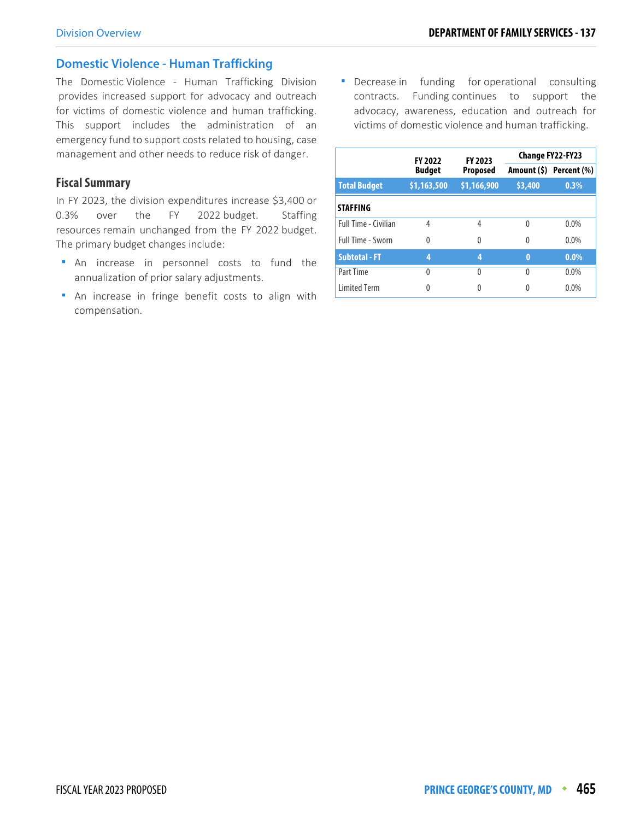## **Domestic Violence - Human Trafficking**

The Domestic Violence - Human Trafficking Division provides increased support for advocacy and outreach for victims of domestic violence and human trafficking. This support includes the administration of an emergency fund to support costs related to housing, case management and other needs to reduce risk of danger.

## **Fiscal Summary**

In FY 2023, the division expenditures increase \$3,400 or 0.3% over the FY 2022 budget. Staffing resources remain unchanged from the FY 2022 budget. The primary budget changes include:

- An increase in personnel costs to fund the annualization of prior salary adjustments.
- An increase in fringe benefit costs to align with compensation.

**•** Decrease in funding for operational consulting contracts. Funding continues to support the advocacy, awareness, education and outreach for victims of domestic violence and human trafficking.

|                             | <b>FY 2022</b> | FY 2023         |          | <b>Change FY22-FY23</b> |  |
|-----------------------------|----------------|-----------------|----------|-------------------------|--|
|                             | <b>Budget</b>  | <b>Proposed</b> |          | Amount (\$) Percent (%) |  |
| <b>Total Budget</b>         | \$1,163,500    | \$1,166,900     | \$3,400  | 0.3%                    |  |
| <b>STAFFING</b>             |                |                 |          |                         |  |
| <b>Full Time - Civilian</b> | 4              | 4               | $\Omega$ | $0.0\%$                 |  |
| <b>Full Time - Sworn</b>    | $\Omega$       | 0               | $\Omega$ | $0.0\%$                 |  |
| <b>Subtotal - FT</b>        | 4              | 4               | $\bf{0}$ | $0.0\%$                 |  |
| Part Time                   | 0              | 0               | $\Omega$ | 0.0%                    |  |
| <b>Limited Term</b>         | 0              | 0               | 0        | 0.0%                    |  |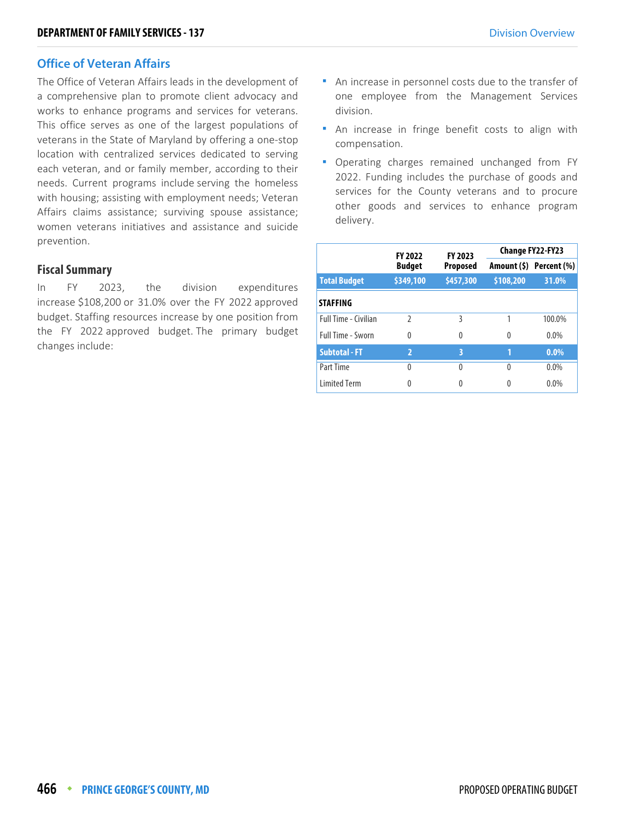## **Office of Veteran Affairs**

The Office of Veteran Affairs leads in the development of a comprehensive plan to promote client advocacy and works to enhance programs and services for veterans. This office serves as one of the largest populations of veterans in the State of Maryland by offering a one-stop location with centralized services dedicated to serving each veteran, and or family member, according to their needs. Current programs include serving the homeless with housing; assisting with employment needs; Veteran Affairs claims assistance; surviving spouse assistance; women veterans initiatives and assistance and suicide prevention.

#### **Fiscal Summary**

In FY 2023, the division expenditures increase \$108,200 or 31.0% over the FY 2022 approved budget. Staffing resources increase by one position from the FY 2022 approved budget. The primary budget changes include:

- An increase in personnel costs due to the transfer of one employee from the Management Services division.
- An increase in fringe benefit costs to align with compensation.
- Operating charges remained unchanged from FY 2022. Funding includes the purchase of goods and services for the County veterans and to procure other goods and services to enhance program delivery.

|                          | <b>FY 2022</b> | FY 2023         |           | Change FY22-FY23        |
|--------------------------|----------------|-----------------|-----------|-------------------------|
|                          | <b>Budget</b>  | <b>Proposed</b> |           | Amount (\$) Percent (%) |
| <b>Total Budget</b>      | \$349,100      | \$457,300       | \$108,200 | 31.0%                   |
| <b>STAFFING</b>          |                |                 |           |                         |
| Full Time - Civilian     | $\mathfrak{D}$ | ξ               | 1         | 100.0%                  |
| <b>Full Time - Sworn</b> | 0              | 0               | $\Omega$  | $0.0\%$                 |
| <b>Subtotal - FT</b>     | $\overline{2}$ | 3               |           | $0.0\%$                 |
| Part Time                | 0              | 0               | $\Omega$  | $0.0\%$                 |
| <b>Limited Term</b>      | 0              |                 |           | $0.0\%$                 |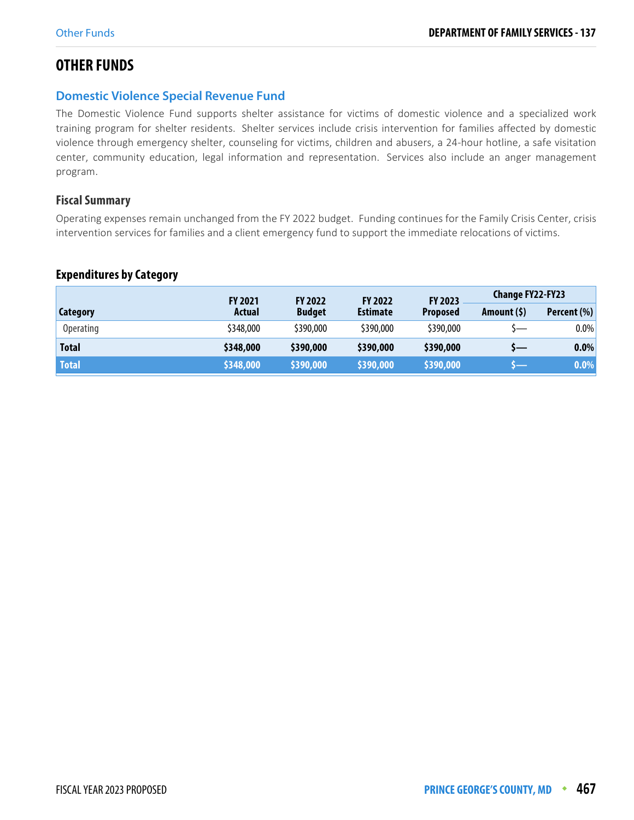# **OTHER FUNDS**

## **Domestic Violence Special Revenue Fund**

The Domestic Violence Fund supports shelter assistance for victims of domestic violence and a specialized work training program for shelter residents. Shelter services include crisis intervention for families affected by domestic violence through emergency shelter, counseling for victims, children and abusers, a 24-hour hotline, a safe visitation center, community education, legal information and representation. Services also include an anger management program.

## **Fiscal Summary**

Operating expenses remain unchanged from the FY 2022 budget. Funding continues for the Family Crisis Center, crisis intervention services for families and a client emergency fund to support the immediate relocations of victims.

## **Expenditures by Category**

|                  | <b>FY 2021</b> | <b>FY 2022</b> | <b>FY 2022</b>  | <b>FY 2023</b>  | <b>Change FY22-FY23</b> |             |
|------------------|----------------|----------------|-----------------|-----------------|-------------------------|-------------|
| Category         | <b>Actual</b>  | <b>Budget</b>  | <b>Estimate</b> | <b>Proposed</b> | Amount (\$)             | Percent (%) |
| <b>Operating</b> | \$348,000      | \$390,000      | \$390,000       | \$390,000       | \—                      | $0.0\%$     |
| <b>Total</b>     | \$348,000      | \$390,000      | \$390,000       | \$390,000       | s—                      | $0.0\%$     |
| <b>Total</b>     | \$348,000      | \$390,000      | \$390,000       | \$390,000       |                         | $0.0\%$     |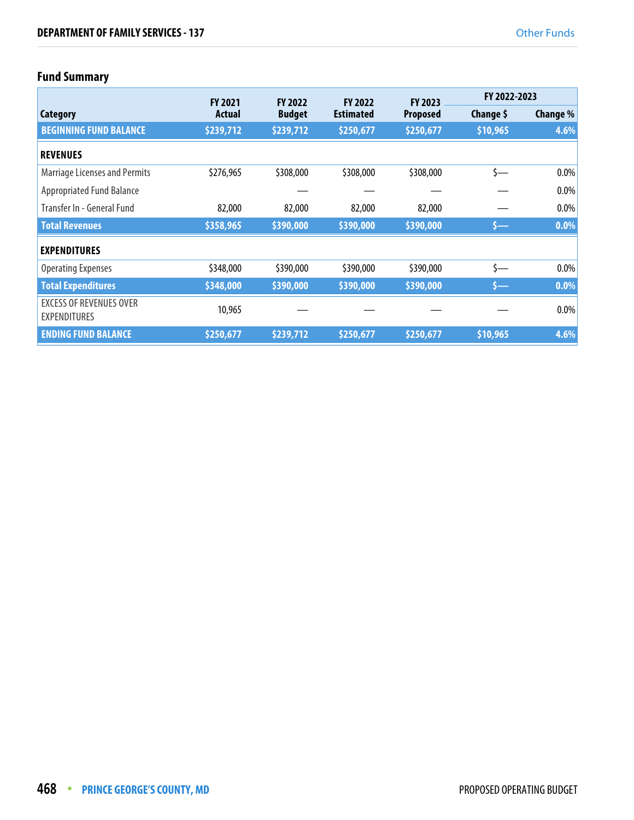# **Fund Summary**

|                                                       | <b>FY 2021</b> | <b>FY 2022</b> | <b>FY 2022</b>   | <b>FY 2023</b>  | FY 2022-2023 |                 |
|-------------------------------------------------------|----------------|----------------|------------------|-----------------|--------------|-----------------|
| Category                                              | Actual         | <b>Budget</b>  | <b>Estimated</b> | <b>Proposed</b> | Change \$    | <b>Change %</b> |
| <b>BEGINNING FUND BALANCE</b>                         | \$239,712      | \$239,712      | \$250,677        | \$250,677       | \$10,965     | 4.6%            |
| <b>REVENUES</b>                                       |                |                |                  |                 |              |                 |
| <b>Marriage Licenses and Permits</b>                  | \$276,965      | \$308,000      | \$308,000        | \$308,000       | $\zeta$ —    | 0.0%            |
| <b>Appropriated Fund Balance</b>                      |                |                |                  |                 |              | 0.0%            |
| Transfer In - General Fund                            | 82,000         | 82,000         | 82,000           | 82,000          |              | 0.0%            |
| <b>Total Revenues</b>                                 | \$358,965      | \$390,000      | \$390,000        | \$390,000       | \$—          | 0.0%            |
| <b>EXPENDITURES</b>                                   |                |                |                  |                 |              |                 |
| <b>Operating Expenses</b>                             | \$348,000      | \$390,000      | \$390,000        | \$390,000       | s—           | $0.0\%$         |
| <b>Total Expenditures</b>                             | \$348,000      | \$390,000      | \$390,000        | \$390,000       | $s-$         | $0.0\%$         |
| <b>EXCESS OF REVENUES OVER</b><br><b>EXPENDITURES</b> | 10,965         |                |                  |                 |              | 0.0%            |
| <b>ENDING FUND BALANCE</b>                            | \$250,677      | \$239,712      | \$250,677        | \$250,677       | \$10,965     | 4.6%            |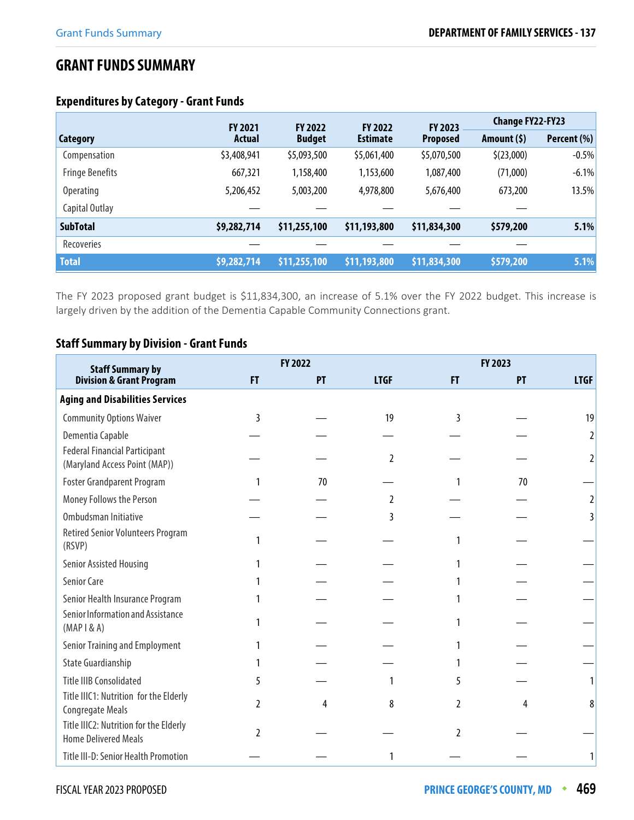# **GRANT FUNDS SUMMARY**

## **Expenditures by Category - Grant Funds**

|                        | <b>FY 2021</b> | <b>FY 2022</b> | <b>FY 2022</b>  | <b>FY 2023</b>  | <b>Change FY22-FY23</b> |             |
|------------------------|----------------|----------------|-----------------|-----------------|-------------------------|-------------|
| <b>Category</b>        | Actual         | <b>Budget</b>  | <b>Estimate</b> | <b>Proposed</b> | Amount $(5)$            | Percent (%) |
| Compensation           | \$3,408,941    | \$5,093,500    | \$5,061,400     | \$5,070,500     | \$(23,000)              | $-0.5%$     |
| <b>Fringe Benefits</b> | 667,321        | 1,158,400      | 1,153,600       | 1,087,400       | (71,000)                | $-6.1%$     |
| <b>Operating</b>       | 5,206,452      | 5,003,200      | 4,978,800       | 5,676,400       | 673,200                 | 13.5%       |
| Capital Outlay         |                |                |                 |                 |                         |             |
| <b>SubTotal</b>        | \$9,282,714    | \$11,255,100   | \$11,193,800    | \$11,834,300    | \$579,200               | 5.1%        |
| Recoveries             |                |                |                 |                 |                         |             |
| <b>Total</b>           | \$9,282,714    | \$11,255,100   | \$11,193,800    | \$11,834,300    | \$579,200               | 5.1%        |

The FY 2023 proposed grant budget is \$11,834,300, an increase of 5.1% over the FY 2022 budget. This increase is largely driven by the addition of the Dementia Capable Community Connections grant.

## **Staff Summary by Division - Grant Funds**

| <b>Staff Summary by</b>                                               |               | FY 2022 |                |                | FY 2023 |             |
|-----------------------------------------------------------------------|---------------|---------|----------------|----------------|---------|-------------|
| <b>Division &amp; Grant Program</b>                                   | <b>FT</b>     | PT      | <b>LTGF</b>    | FT.            | PT      | <b>LTGF</b> |
| <b>Aging and Disabilities Services</b>                                |               |         |                |                |         |             |
| <b>Community Options Waiver</b>                                       | 3             |         | 19             | ξ              |         | 19          |
| Dementia Capable                                                      |               |         |                |                |         | 2           |
| <b>Federal Financial Participant</b><br>(Maryland Access Point (MAP)) |               |         | $\overline{2}$ |                |         | 2           |
| <b>Foster Grandparent Program</b>                                     |               | 70      |                |                | 70      |             |
| Money Follows the Person                                              |               |         | 2              |                |         | 2           |
| Ombudsman Initiative                                                  |               |         | 3              |                |         | 3           |
| <b>Retired Senior Volunteers Program</b><br>(RSVP)                    |               |         |                |                |         |             |
| Senior Assisted Housing                                               |               |         |                |                |         |             |
| Senior Care                                                           |               |         |                |                |         |             |
| Senior Health Insurance Program                                       |               |         |                |                |         |             |
| Senior Information and Assistance<br>$(MAP \, \, 8A)$                 |               |         |                |                |         |             |
| Senior Training and Employment                                        |               |         |                |                |         |             |
| <b>State Guardianship</b>                                             |               |         |                |                |         |             |
| <b>Title IIIB Consolidated</b>                                        |               |         |                | 5              |         |             |
| Title IIIC1: Nutrition for the Elderly<br><b>Congregate Meals</b>     | $\mathfrak z$ | 4       | 8              | $\mathfrak{p}$ | 4       | 8           |
| Title IIIC2: Nutrition for the Elderly<br><b>Home Delivered Meals</b> | $\mathcal{V}$ |         |                | $\mathfrak z$  |         |             |
| Title III-D: Senior Health Promotion                                  |               |         |                |                |         |             |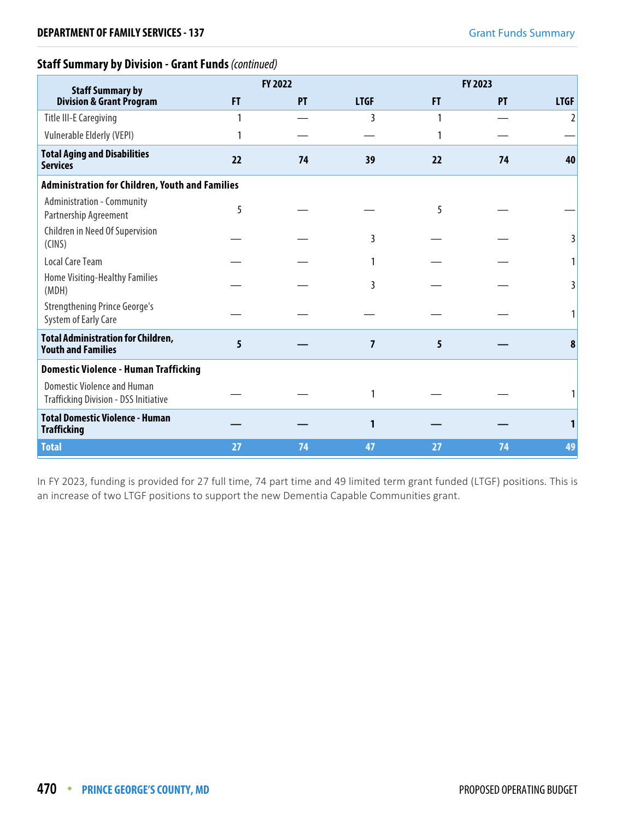## **Staff Summary by Division - Grant Funds** (continued)

| <b>Staff Summary by</b>                                                            |    | FY 2022   |             |    | FY 2023 |             |
|------------------------------------------------------------------------------------|----|-----------|-------------|----|---------|-------------|
| <b>Division &amp; Grant Program</b>                                                | F  | <b>PT</b> | <b>LTGF</b> | FT | PT      | <b>LTGF</b> |
| <b>Title III-E Caregiving</b>                                                      |    |           | 3           |    |         | 2           |
| Vulnerable Elderly (VEPI)                                                          |    |           |             |    |         |             |
| <b>Total Aging and Disabilities</b><br><b>Services</b>                             | 22 | 74        | 39          | 22 | 74      | 40          |
| <b>Administration for Children, Youth and Families</b>                             |    |           |             |    |         |             |
| Administration - Community<br>Partnership Agreement                                | 5  |           |             | 5  |         |             |
| Children in Need Of Supervision<br>(CINS)                                          |    |           | 3           |    |         |             |
| Local Care Team                                                                    |    |           |             |    |         |             |
| Home Visiting-Healthy Families<br>(MDH)                                            |    |           | 3           |    |         |             |
| <b>Strengthening Prince George's</b><br>System of Early Care                       |    |           |             |    |         |             |
| <b>Total Administration for Children,</b><br><b>Youth and Families</b>             | 5  |           | 7           | 5  |         | 8           |
| <b>Domestic Violence - Human Trafficking</b>                                       |    |           |             |    |         |             |
| <b>Domestic Violence and Human</b><br><b>Trafficking Division - DSS Initiative</b> |    |           |             |    |         |             |
| <b>Total Domestic Violence - Human</b><br><b>Trafficking</b>                       |    |           | 1           |    |         |             |
| <b>Total</b>                                                                       | 27 | 74        | 47          | 27 | 74      | 49          |

In FY 2023, funding is provided for 27 full time, 74 part time and 49 limited term grant funded (LTGF) positions. This is an increase of two LTGF positions to support the new Dementia Capable Communities grant.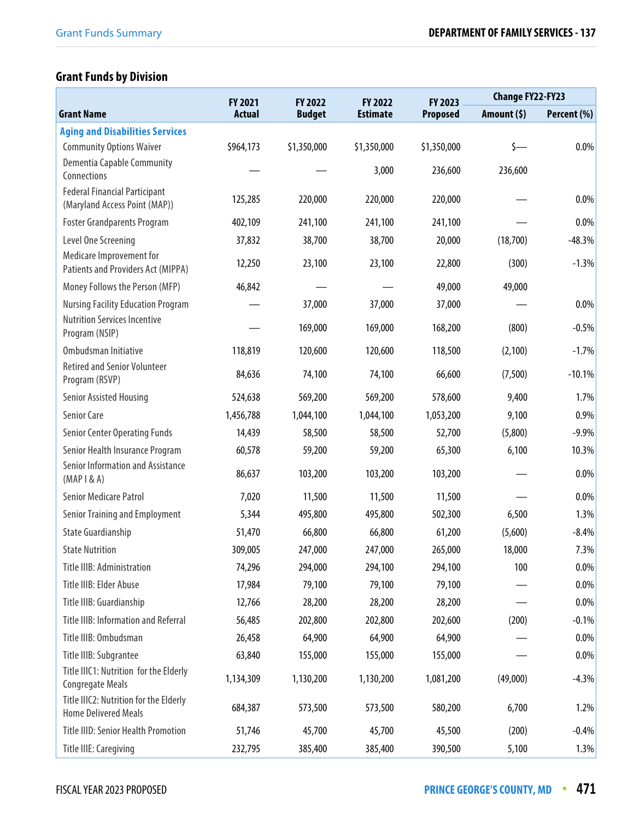# **Grant Funds by Division**

|                                                                       | FY 2021       | FY 2022       | FY 2022         | FY 2023         | <b>Change FY22-FY23</b> |             |
|-----------------------------------------------------------------------|---------------|---------------|-----------------|-----------------|-------------------------|-------------|
| <b>Grant Name</b>                                                     | <b>Actual</b> | <b>Budget</b> | <b>Estimate</b> | <b>Proposed</b> | Amount (\$)             | Percent (%) |
| <b>Aging and Disabilities Services</b>                                |               |               |                 |                 |                         |             |
| <b>Community Options Waiver</b>                                       | \$964,173     | \$1,350,000   | \$1,350,000     | \$1,350,000     | $\zeta$ —               | 0.0%        |
| Dementia Capable Community<br>Connections                             |               |               | 3,000           | 236,600         | 236,600                 |             |
| <b>Federal Financial Participant</b><br>(Maryland Access Point (MAP)) | 125,285       | 220,000       | 220,000         | 220,000         |                         | 0.0%        |
| <b>Foster Grandparents Program</b>                                    | 402,109       | 241,100       | 241,100         | 241,100         |                         | 0.0%        |
| Level One Screening                                                   | 37,832        | 38,700        | 38,700          | 20,000          | (18,700)                | $-48.3%$    |
| Medicare Improvement for<br>Patients and Providers Act (MIPPA)        | 12,250        | 23,100        | 23,100          | 22,800          | (300)                   | $-1.3%$     |
| Money Follows the Person (MFP)                                        | 46,842        |               |                 | 49,000          | 49,000                  |             |
| <b>Nursing Facility Education Program</b>                             |               | 37,000        | 37,000          | 37,000          |                         | 0.0%        |
| <b>Nutrition Services Incentive</b><br>Program (NSIP)                 |               | 169,000       | 169,000         | 168,200         | (800)                   | $-0.5%$     |
| Ombudsman Initiative                                                  | 118,819       | 120,600       | 120,600         | 118,500         | (2,100)                 | $-1.7%$     |
| <b>Retired and Senior Volunteer</b><br>Program (RSVP)                 | 84,636        | 74,100        | 74,100          | 66,600          | (7,500)                 | $-10.1%$    |
| Senior Assisted Housing                                               | 524,638       | 569,200       | 569,200         | 578,600         | 9,400                   | 1.7%        |
| Senior Care                                                           | 1,456,788     | 1,044,100     | 1,044,100       | 1,053,200       | 9,100                   | 0.9%        |
| <b>Senior Center Operating Funds</b>                                  | 14,439        | 58,500        | 58,500          | 52,700          | (5,800)                 | $-9.9%$     |
| Senior Health Insurance Program                                       | 60,578        | 59,200        | 59,200          | 65,300          | 6,100                   | 10.3%       |
| Senior Information and Assistance<br>$(MAP \, \, 8A)$                 | 86,637        | 103,200       | 103,200         | 103,200         |                         | 0.0%        |
| <b>Senior Medicare Patrol</b>                                         | 7,020         | 11,500        | 11,500          | 11,500          |                         | 0.0%        |
| Senior Training and Employment                                        | 5,344         | 495,800       | 495,800         | 502,300         | 6,500                   | 1.3%        |
| <b>State Guardianship</b>                                             | 51,470        | 66,800        | 66,800          | 61,200          | (5,600)                 | $-8.4%$     |
| <b>State Nutrition</b>                                                | 309,005       | 247,000       | 247,000         | 265,000         | 18,000                  | 7.3%        |
| Title IIIB: Administration                                            | 74,296        | 294,000       | 294,100         | 294,100         | 100                     | $0.0\%$     |
| Title IIIB: Elder Abuse                                               | 17,984        | 79,100        | 79,100          | 79,100          |                         | 0.0%        |
| Title IIIB: Guardianship                                              | 12,766        | 28,200        | 28,200          | 28,200          |                         | $0.0\%$     |
| Title IIIB: Information and Referral                                  | 56,485        | 202,800       | 202,800         | 202,600         | (200)                   | $-0.1%$     |
| Title IIIB: Ombudsman                                                 | 26,458        | 64,900        | 64,900          | 64,900          |                         | $0.0\%$     |
| Title IIIB: Subgrantee                                                | 63,840        | 155,000       | 155,000         | 155,000         |                         | $0.0\%$     |
| Title IIIC1: Nutrition for the Elderly<br><b>Congregate Meals</b>     | 1,134,309     | 1,130,200     | 1,130,200       | 1,081,200       | (49,000)                | $-4.3%$     |
| Title IIIC2: Nutrition for the Elderly<br><b>Home Delivered Meals</b> | 684,387       | 573,500       | 573,500         | 580,200         | 6,700                   | 1.2%        |
| <b>Title IIID: Senior Health Promotion</b>                            | 51,746        | 45,700        | 45,700          | 45,500          | (200)                   | $-0.4%$     |
| Title IIIE: Caregiving                                                | 232,795       | 385,400       | 385,400         | 390,500         | 5,100                   | 1.3%        |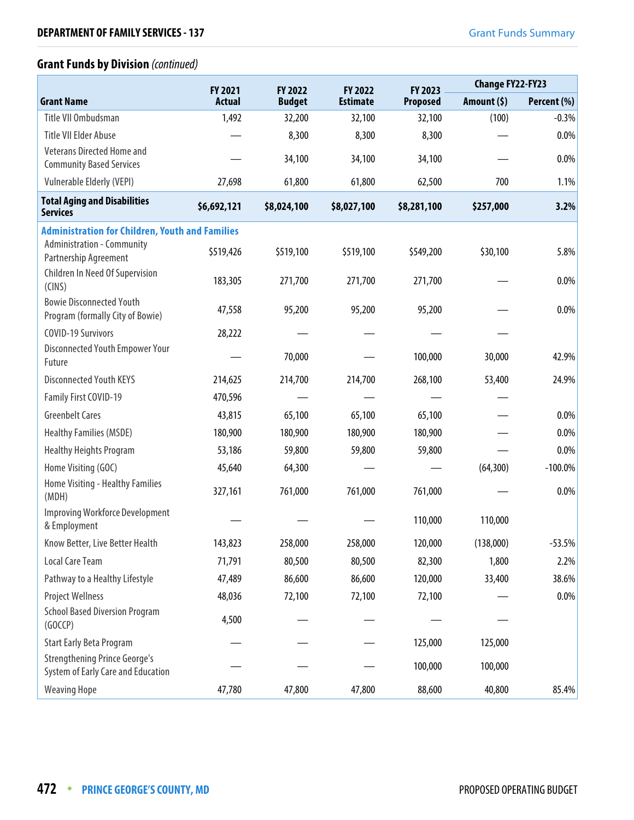## **Grant Funds by Division** (continued)

|                                                                            | FY 2021       | FY 2022       | FY 2022         | FY 2023         | <b>Change FY22-FY23</b> |             |
|----------------------------------------------------------------------------|---------------|---------------|-----------------|-----------------|-------------------------|-------------|
| <b>Grant Name</b>                                                          | <b>Actual</b> | <b>Budget</b> | <b>Estimate</b> | <b>Proposed</b> | Amount (\$)             | Percent (%) |
| Title VII Ombudsman                                                        | 1,492         | 32,200        | 32,100          | 32,100          | (100)                   | $-0.3%$     |
| <b>Title VII Elder Abuse</b>                                               |               | 8,300         | 8,300           | 8,300           |                         | $0.0\%$     |
| <b>Veterans Directed Home and</b><br><b>Community Based Services</b>       |               | 34,100        | 34,100          | 34,100          |                         | 0.0%        |
| <b>Vulnerable Elderly (VEPI)</b>                                           | 27,698        | 61,800        | 61,800          | 62,500          | 700                     | 1.1%        |
| <b>Total Aging and Disabilities</b><br><b>Services</b>                     | \$6,692,121   | \$8,024,100   | \$8,027,100     | \$8,281,100     | \$257,000               | 3.2%        |
| <b>Administration for Children, Youth and Families</b>                     |               |               |                 |                 |                         |             |
| <b>Administration - Community</b><br>Partnership Agreement                 | \$519,426     | \$519,100     | \$519,100       | \$549,200       | \$30,100                | 5.8%        |
| Children In Need Of Supervision<br>(CINS)                                  | 183,305       | 271,700       | 271,700         | 271,700         |                         | 0.0%        |
| <b>Bowie Disconnected Youth</b><br>Program (formally City of Bowie)        | 47,558        | 95,200        | 95,200          | 95,200          |                         | $0.0\%$     |
| <b>COVID-19 Survivors</b>                                                  | 28,222        |               |                 |                 |                         |             |
| Disconnected Youth Empower Your<br>Future                                  |               | 70,000        |                 | 100,000         | 30,000                  | 42.9%       |
| <b>Disconnected Youth KEYS</b>                                             | 214,625       | 214,700       | 214,700         | 268,100         | 53,400                  | 24.9%       |
| Family First COVID-19                                                      | 470,596       |               |                 |                 |                         |             |
| <b>Greenbelt Cares</b>                                                     | 43,815        | 65,100        | 65,100          | 65,100          |                         | 0.0%        |
| <b>Healthy Families (MSDE)</b>                                             | 180,900       | 180,900       | 180,900         | 180,900         |                         | 0.0%        |
| <b>Healthy Heights Program</b>                                             | 53,186        | 59,800        | 59,800          | 59,800          |                         | 0.0%        |
| Home Visiting (GOC)                                                        | 45,640        | 64,300        |                 |                 | (64, 300)               | $-100.0\%$  |
| Home Visiting - Healthy Families<br>(MDH)                                  | 327,161       | 761,000       | 761,000         | 761,000         |                         | 0.0%        |
| <b>Improving Workforce Development</b><br>& Employment                     |               |               |                 | 110,000         | 110,000                 |             |
| Know Better, Live Better Health                                            | 143,823       | 258,000       | 258,000         | 120,000         | (138,000)               | $-53.5%$    |
| Local Care Team                                                            | 71,791        | 80,500        | 80,500          | 82,300          | 1,800                   | 2.2%        |
| Pathway to a Healthy Lifestyle                                             | 47,489        | 86,600        | 86,600          | 120,000         | 33,400                  | 38.6%       |
| <b>Project Wellness</b>                                                    | 48,036        | 72,100        | 72,100          | 72,100          |                         | $0.0\%$     |
| <b>School Based Diversion Program</b><br>(GOCCP)                           | 4,500         |               |                 |                 |                         |             |
| <b>Start Early Beta Program</b>                                            |               |               |                 | 125,000         | 125,000                 |             |
| <b>Strengthening Prince George's</b><br>System of Early Care and Education |               |               |                 | 100,000         | 100,000                 |             |
| <b>Weaving Hope</b>                                                        | 47,780        | 47,800        | 47,800          | 88,600          | 40,800                  | 85.4%       |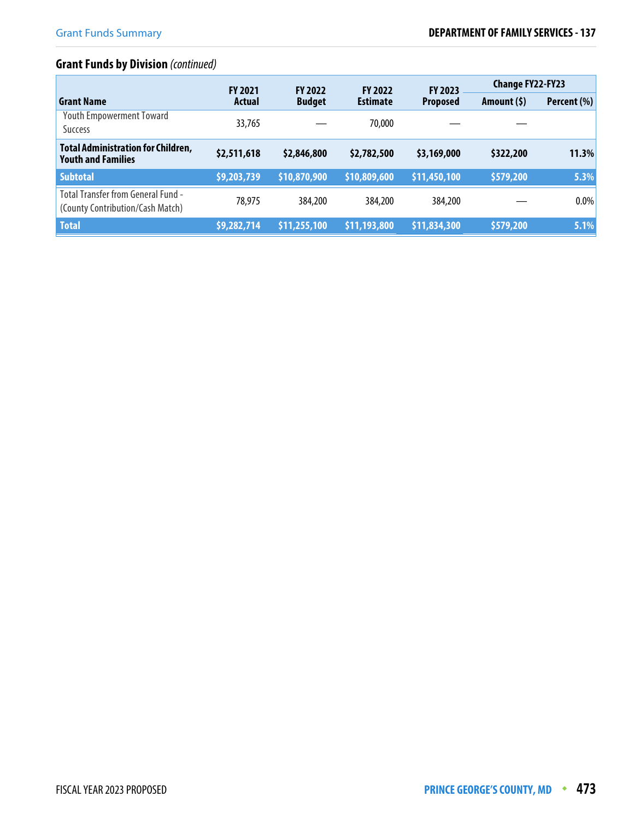# **Grant Funds by Division** (continued)

|                                                                        | <b>FY 2021</b><br><b>FY 2022</b> |               | <b>FY 2022</b>  | <b>FY 2023</b>  | <b>Change FY22-FY23</b> |             |
|------------------------------------------------------------------------|----------------------------------|---------------|-----------------|-----------------|-------------------------|-------------|
| <b>Grant Name</b>                                                      | <b>Actual</b>                    | <b>Budget</b> | <b>Estimate</b> | <b>Proposed</b> | Amount (\$)             | Percent (%) |
| <b>Youth Empowerment Toward</b><br><b>Success</b>                      | 33,765                           |               | 70,000          |                 |                         |             |
| <b>Total Administration for Children,</b><br><b>Youth and Families</b> | \$2,511,618                      | \$2,846,800   | \$2,782,500     | \$3,169,000     | \$322,200               | 11.3%       |
| <b>Subtotal</b>                                                        | \$9,203,739                      | \$10,870,900  | \$10,809,600    | \$11,450,100    | \$579,200               | 5.3%        |
| Total Transfer from General Fund -<br>(County Contribution/Cash Match) | 78,975                           | 384,200       | 384,200         | 384,200         |                         | 0.0%        |
| <b>Total</b>                                                           | \$9,282,714                      | \$11,255,100  | \$11,193,800    | \$11,834,300    | \$579,200               | 5.1%        |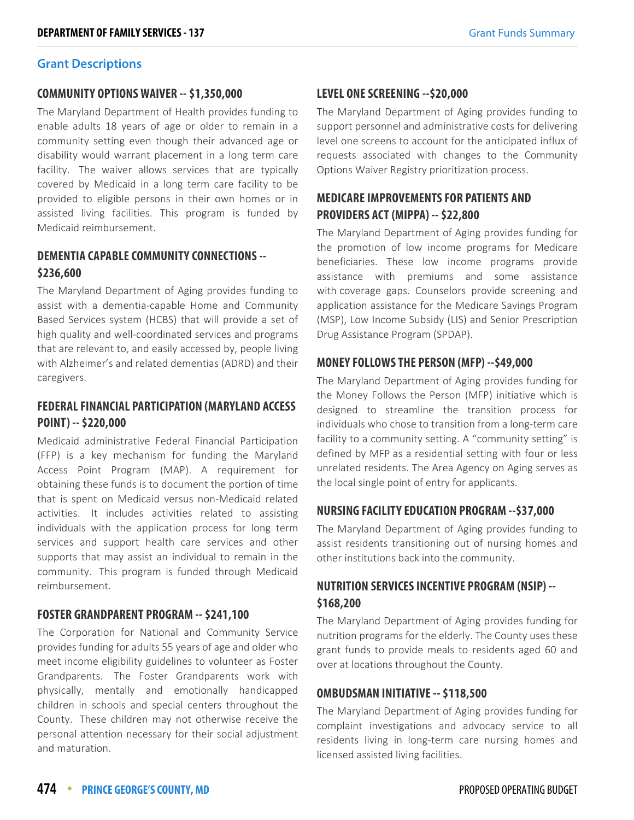#### **Grant Descriptions**

### **COMMUNITY OPTIONS WAIVER -- \$1,350,000**

The Maryland Department of Health provides funding to enable adults 18 years of age or older to remain in a community setting even though their advanced age or disability would warrant placement in a long term care facility. The waiver allows services that are typically covered by Medicaid in a long term care facility to be provided to eligible persons in their own homes or in assisted living facilities. This program is funded by Medicaid reimbursement.

## **DEMENTIA CAPABLE COMMUNITY CONNECTIONS -- \$236,600**

The Maryland Department of Aging provides funding to assist with a dementia-capable Home and Community Based Services system (HCBS) that will provide a set of high quality and well-coordinated services and programs that are relevant to, and easily accessed by, people living with Alzheimer's and related dementias (ADRD) and their caregivers.

## **FEDERAL FINANCIAL PARTICIPATION (MARYLAND ACCESS POINT) -- \$220,000**

Medicaid administrative Federal Financial Participation (FFP) is a key mechanism for funding the Maryland Access Point Program (MAP). A requirement for obtaining these funds is to document the portion of time that is spent on Medicaid versus non-Medicaid related activities. It includes activities related to assisting individuals with the application process for long term services and support health care services and other supports that may assist an individual to remain in the community. This program is funded through Medicaid reimbursement.

## **FOSTER GRANDPARENT PROGRAM -- \$241,100**

The Corporation for National and Community Service provides funding for adults 55 years of age and older who meet income eligibility guidelines to volunteer as Foster Grandparents. The Foster Grandparents work with physically, mentally and emotionally handicapped children in schools and special centers throughout the County. These children may not otherwise receive the personal attention necessary for their social adjustment and maturation.

## **LEVEL ONE SCREENING --\$20,000**

The Maryland Department of Aging provides funding to support personnel and administrative costs for delivering level one screens to account for the anticipated influx of requests associated with changes to the Community Options Waiver Registry prioritization process.

## **MEDICARE IMPROVEMENTS FOR PATIENTS AND PROVIDERS ACT (MIPPA) -- \$22,800**

The Maryland Department of Aging provides funding for the promotion of low income programs for Medicare beneficiaries. These low income programs provide assistance with premiums and some assistance with coverage gaps. Counselors provide screening and application assistance for the Medicare Savings Program (MSP), Low Income Subsidy (LIS) and Senior Prescription Drug Assistance Program (SPDAP).

## **MONEY FOLLOWS THE PERSON (MFP) --\$49,000**

The Maryland Department of Aging provides funding for the Money Follows the Person (MFP) initiative which is designed to streamline the transition process for individuals who chose to transition from a long-term care facility to a community setting. A "community setting" is defined by MFP as a residential setting with four or less unrelated residents. The Area Agency on Aging serves as the local single point of entry for applicants.

## **NURSING FACILITY EDUCATION PROGRAM --\$37,000**

The Maryland Department of Aging provides funding to assist residents transitioning out of nursing homes and other institutions back into the community.

## **NUTRITION SERVICES INCENTIVE PROGRAM (NSIP) -- \$168,200**

The Maryland Department of Aging provides funding for nutrition programs for the elderly. The County uses these grant funds to provide meals to residents aged 60 and over at locations throughout the County.

## **OMBUDSMAN INITIATIVE -- \$118,500**

The Maryland Department of Aging provides funding for complaint investigations and advocacy service to all residents living in long-term care nursing homes and licensed assisted living facilities.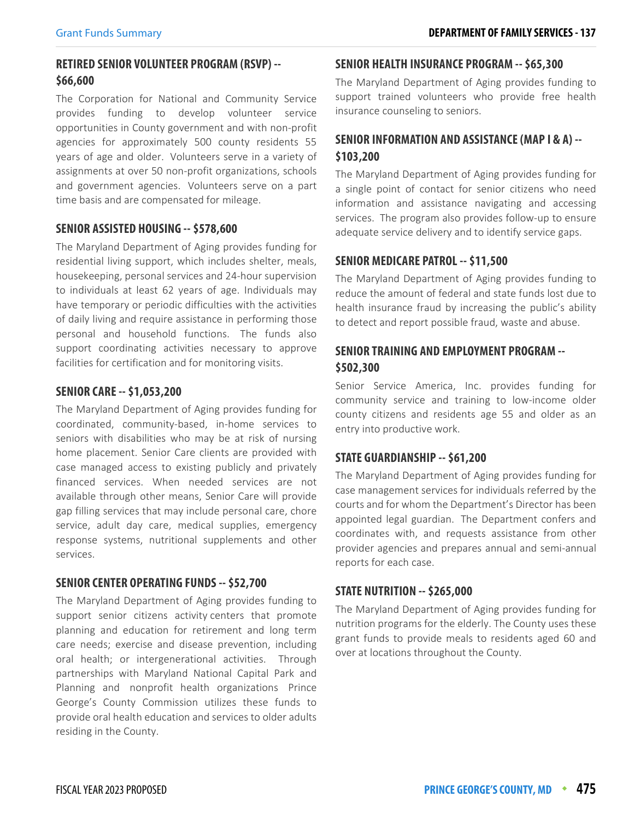## **RETIRED SENIOR VOLUNTEER PROGRAM (RSVP) -- \$66,600**

The Corporation for National and Community Service provides funding to develop volunteer service opportunities in County government and with non-profit agencies for approximately 500 county residents 55 years of age and older. Volunteers serve in a variety of assignments at over 50 non-profit organizations, schools and government agencies. Volunteers serve on a part time basis and are compensated for mileage.

## **SENIOR ASSISTED HOUSING -- \$578,600**

The Maryland Department of Aging provides funding for residential living support, which includes shelter, meals, housekeeping, personal services and 24-hour supervision to individuals at least 62 years of age. Individuals may have temporary or periodic difficulties with the activities of daily living and require assistance in performing those personal and household functions. The funds also support coordinating activities necessary to approve facilities for certification and for monitoring visits.

#### **SENIOR CARE -- \$1,053,200**

The Maryland Department of Aging provides funding for coordinated, community-based, in-home services to seniors with disabilities who may be at risk of nursing home placement. Senior Care clients are provided with case managed access to existing publicly and privately financed services. When needed services are not available through other means, Senior Care will provide gap filling services that may include personal care, chore service, adult day care, medical supplies, emergency response systems, nutritional supplements and other services.

#### **SENIOR CENTER OPERATING FUNDS -- \$52,700**

The Maryland Department of Aging provides funding to support senior citizens activity centers that promote planning and education for retirement and long term care needs; exercise and disease prevention, including oral health; or intergenerational activities. Through partnerships with Maryland National Capital Park and Planning and nonprofit health organizations Prince George's County Commission utilizes these funds to provide oral health education and services to older adults residing in the County.

### **SENIOR HEALTH INSURANCE PROGRAM -- \$65,300**

The Maryland Department of Aging provides funding to support trained volunteers who provide free health insurance counseling to seniors.

## **SENIOR INFORMATION AND ASSISTANCE (MAP I & A) -- \$103,200**

The Maryland Department of Aging provides funding for a single point of contact for senior citizens who need information and assistance navigating and accessing services. The program also provides follow-up to ensure adequate service delivery and to identify service gaps.

#### **SENIOR MEDICARE PATROL -- \$11,500**

The Maryland Department of Aging provides funding to reduce the amount of federal and state funds lost due to health insurance fraud by increasing the public's ability to detect and report possible fraud, waste and abuse.

## **SENIOR TRAINING AND EMPLOYMENT PROGRAM -- \$502,300**

Senior Service America, Inc. provides funding for community service and training to low-income older county citizens and residents age 55 and older as an entry into productive work.

## **STATE GUARDIANSHIP -- \$61,200**

The Maryland Department of Aging provides funding for case management services for individuals referred by the courts and for whom the Department's Director has been appointed legal guardian. The Department confers and coordinates with, and requests assistance from other provider agencies and prepares annual and semi-annual reports for each case.

#### **STATE NUTRITION -- \$265,000**

The Maryland Department of Aging provides funding for nutrition programs for the elderly. The County uses these grant funds to provide meals to residents aged 60 and over at locations throughout the County.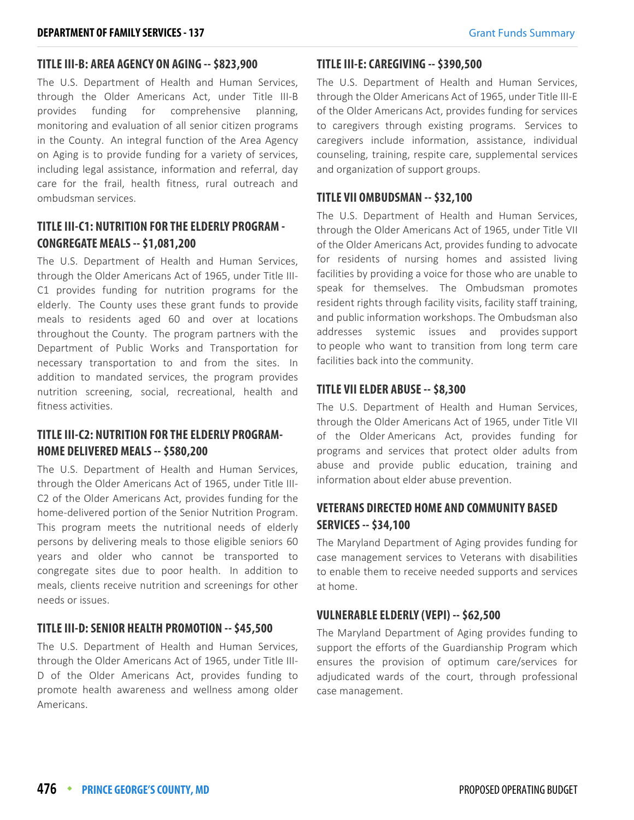## **TITLE III-B: AREA AGENCY ON AGING -- \$823,900**

The U.S. Department of Health and Human Services, through the Older Americans Act, under Title III-B provides funding for comprehensive planning, monitoring and evaluation of all senior citizen programs in the County. An integral function of the Area Agency on Aging is to provide funding for a variety of services, including legal assistance, information and referral, day care for the frail, health fitness, rural outreach and ombudsman services.

## **TITLE III-C1: NUTRITION FOR THE ELDERLY PROGRAM - CONGREGATE MEALS -- \$1,081,200**

The U.S. Department of Health and Human Services, through the Older Americans Act of 1965, under Title III-C1 provides funding for nutrition programs for the elderly. The County uses these grant funds to provide meals to residents aged 60 and over at locations throughout the County. The program partners with the Department of Public Works and Transportation for necessary transportation to and from the sites. In addition to mandated services, the program provides nutrition screening, social, recreational, health and fitness activities.

## **TITLE III-C2: NUTRITION FOR THE ELDERLY PROGRAM-HOME DELIVERED MEALS -- \$580,200**

The U.S. Department of Health and Human Services, through the Older Americans Act of 1965, under Title III-C2 of the Older Americans Act, provides funding for the home-delivered portion of the Senior Nutrition Program. This program meets the nutritional needs of elderly persons by delivering meals to those eligible seniors 60 years and older who cannot be transported to congregate sites due to poor health. In addition to meals, clients receive nutrition and screenings for other needs or issues.

## **TITLE III-D: SENIOR HEALTH PROMOTION -- \$45,500**

The U.S. Department of Health and Human Services, through the Older Americans Act of 1965, under Title III-D of the Older Americans Act, provides funding to promote health awareness and wellness among older Americans.

### **TITLE III-E: CAREGIVING -- \$390,500**

The U.S. Department of Health and Human Services, through the Older Americans Act of 1965, under Title III-E of the Older Americans Act, provides funding for services to caregivers through existing programs. Services to caregivers include information, assistance, individual counseling, training, respite care, supplemental services and organization of support groups.

## **TITLE VII OMBUDSMAN -- \$32,100**

The U.S. Department of Health and Human Services, through the Older Americans Act of 1965, under Title VII of the Older Americans Act, provides funding to advocate for residents of nursing homes and assisted living facilities by providing a voice for those who are unable to speak for themselves. The Ombudsman promotes resident rights through facility visits, facility staff training, and public information workshops. The Ombudsman also addresses systemic issues and provides support to people who want to transition from long term care facilities back into the community.

## **TITLE VII ELDER ABUSE -- \$8,300**

The U.S. Department of Health and Human Services, through the Older Americans Act of 1965, under Title VII of the Older Americans Act, provides funding for programs and services that protect older adults from abuse and provide public education, training and information about elder abuse prevention.

## **VETERANS DIRECTED HOME AND COMMUNITY BASED SERVICES -- \$34,100**

The Maryland Department of Aging provides funding for case management services to Veterans with disabilities to enable them to receive needed supports and services at home.

## **VULNERABLE ELDERLY (VEPI) -- \$62,500**

The Maryland Department of Aging provides funding to support the efforts of the Guardianship Program which ensures the provision of optimum care/services for adjudicated wards of the court, through professional case management.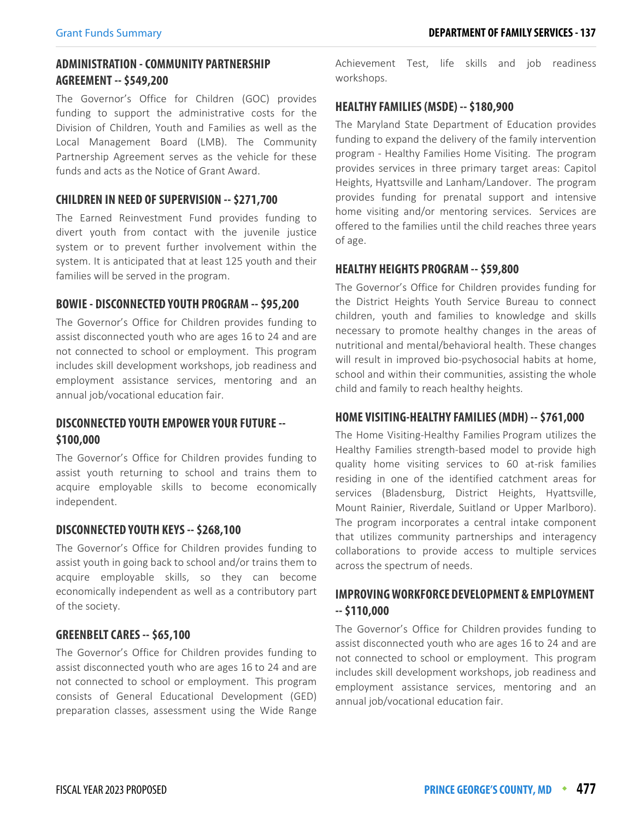## **ADMINISTRATION - COMMUNITY PARTNERSHIP AGREEMENT -- \$549,200**

The Governor's Office for Children (GOC) provides funding to support the administrative costs for the Division of Children, Youth and Families as well as the Local Management Board (LMB). The Community Partnership Agreement serves as the vehicle for these funds and acts as the Notice of Grant Award.

#### **CHILDREN IN NEED OF SUPERVISION -- \$271,700**

The Earned Reinvestment Fund provides funding to divert youth from contact with the juvenile justice system or to prevent further involvement within the system. It is anticipated that at least 125 youth and their families will be served in the program.

## **BOWIE - DISCONNECTED YOUTH PROGRAM -- \$95,200**

The Governor's Office for Children provides funding to assist disconnected youth who are ages 16 to 24 and are not connected to school or employment. This program includes skill development workshops, job readiness and employment assistance services, mentoring and an annual job/vocational education fair.

## **DISCONNECTED YOUTH EMPOWER YOUR FUTURE -- \$100,000**

The Governor's Office for Children provides funding to assist youth returning to school and trains them to acquire employable skills to become economically independent.

#### **DISCONNECTED YOUTH KEYS -- \$268,100**

The Governor's Office for Children provides funding to assist youth in going back to school and/or trains them to acquire employable skills, so they can become economically independent as well as a contributory part of the society.

## **GREENBELT CARES -- \$65,100**

The Governor's Office for Children provides funding to assist disconnected youth who are ages 16 to 24 and are not connected to school or employment. This program consists of General Educational Development (GED) preparation classes, assessment using the Wide Range Achievement Test, life skills and job readiness workshops.

#### **HEALTHY FAMILIES (MSDE) -- \$180,900**

The Maryland State Department of Education provides funding to expand the delivery of the family intervention program - Healthy Families Home Visiting. The program provides services in three primary target areas: Capitol Heights, Hyattsville and Lanham/Landover. The program provides funding for prenatal support and intensive home visiting and/or mentoring services. Services are offered to the families until the child reaches three years of age.

## **HEALTHY HEIGHTS PROGRAM -- \$59,800**

The Governor's Office for Children provides funding for the District Heights Youth Service Bureau to connect children, youth and families to knowledge and skills necessary to promote healthy changes in the areas of nutritional and mental/behavioral health. These changes will result in improved bio-psychosocial habits at home, school and within their communities, assisting the whole child and family to reach healthy heights.

#### **HOME VISITING-HEALTHY FAMILIES (MDH) -- \$761,000**

The Home Visiting-Healthy Families Program utilizes the Healthy Families strength-based model to provide high quality home visiting services to 60 at-risk families residing in one of the identified catchment areas for services (Bladensburg, District Heights, Hyattsville, Mount Rainier, Riverdale, Suitland or Upper Marlboro). The program incorporates a central intake component that utilizes community partnerships and interagency collaborations to provide access to multiple services across the spectrum of needs.

## **IMPROVING WORKFORCE DEVELOPMENT & EMPLOYMENT -- \$110,000**

The Governor's Office for Children provides funding to assist disconnected youth who are ages 16 to 24 and are not connected to school or employment. This program includes skill development workshops, job readiness and employment assistance services, mentoring and an annual job/vocational education fair.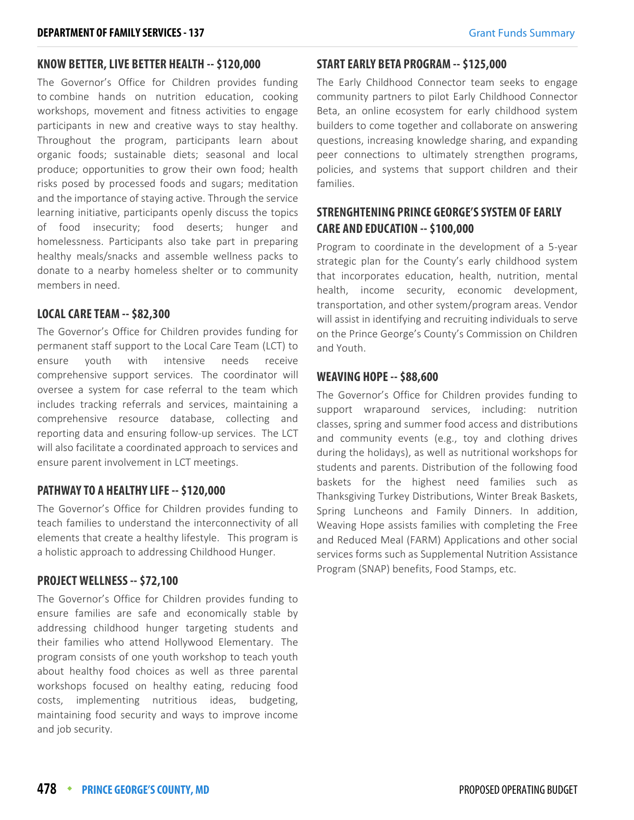#### **KNOW BETTER, LIVE BETTER HEALTH -- \$120,000**

The Governor's Office for Children provides funding to combine hands on nutrition education, cooking workshops, movement and fitness activities to engage participants in new and creative ways to stay healthy. Throughout the program, participants learn about organic foods; sustainable diets; seasonal and local produce; opportunities to grow their own food; health risks posed by processed foods and sugars; meditation and the importance of staying active. Through the service learning initiative, participants openly discuss the topics of food insecurity; food deserts; hunger and homelessness. Participants also take part in preparing healthy meals/snacks and assemble wellness packs to donate to a nearby homeless shelter or to community members in need.

#### **LOCAL CARE TEAM -- \$82,300**

The Governor's Office for Children provides funding for permanent staff support to the Local Care Team (LCT) to ensure youth with intensive needs receive comprehensive support services. The coordinator will oversee a system for case referral to the team which includes tracking referrals and services, maintaining a comprehensive resource database, collecting and reporting data and ensuring follow-up services. The LCT will also facilitate a coordinated approach to services and ensure parent involvement in LCT meetings.

## **PATHWAY TO A HEALTHY LIFE -- \$120,000**

The Governor's Office for Children provides funding to teach families to understand the interconnectivity of all elements that create a healthy lifestyle. This program is a holistic approach to addressing Childhood Hunger.

## **PROJECT WELLNESS -- \$72,100**

The Governor's Office for Children provides funding to ensure families are safe and economically stable by addressing childhood hunger targeting students and their families who attend Hollywood Elementary. The program consists of one youth workshop to teach youth about healthy food choices as well as three parental workshops focused on healthy eating, reducing food costs, implementing nutritious ideas, budgeting, maintaining food security and ways to improve income and job security.

#### **START EARLY BETA PROGRAM -- \$125,000**

The Early Childhood Connector team seeks to engage community partners to pilot Early Childhood Connector Beta, an online ecosystem for early childhood system builders to come together and collaborate on answering questions, increasing knowledge sharing, and expanding peer connections to ultimately strengthen programs, policies, and systems that support children and their families.

## **STRENGHTENING PRINCE GEORGE'S SYSTEM OF EARLY CARE AND EDUCATION -- \$100,000**

Program to coordinate in the development of a 5-year strategic plan for the County's early childhood system that incorporates education, health, nutrition, mental health, income security, economic development, transportation, and other system/program areas. Vendor will assist in identifying and recruiting individuals to serve on the Prince George's County's Commission on Children and Youth.

#### **WEAVING HOPE -- \$88,600**

The Governor's Office for Children provides funding to support wraparound services, including: nutrition classes, spring and summer food access and distributions and community events (e.g., toy and clothing drives during the holidays), as well as nutritional workshops for students and parents. Distribution of the following food baskets for the highest need families such as Thanksgiving Turkey Distributions, Winter Break Baskets, Spring Luncheons and Family Dinners. In addition, Weaving Hope assists families with completing the Free and Reduced Meal (FARM) Applications and other social services forms such as Supplemental Nutrition Assistance Program (SNAP) benefits, Food Stamps, etc.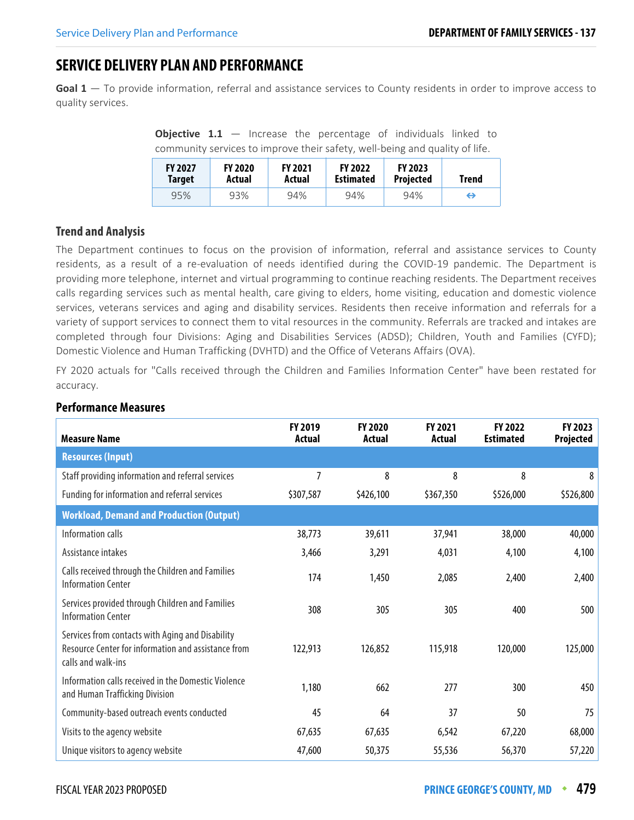# **SERVICE DELIVERY PLAN AND PERFORMANCE**

**Goal 1** — To provide information, referral and assistance services to County residents in order to improve access to quality services.

**Objective 1.1** – Increase the percentage of individuals linked to community services to improve their safety, well-being and quality of life.

| <b>FY 2027</b> | <b>FY 2020</b> | <b>FY 2021</b> | <b>FY 2022</b>   | <b>FY 2023</b>   | <b>Trend</b> |
|----------------|----------------|----------------|------------------|------------------|--------------|
| Target         | Actual         | Actual         | <b>Estimated</b> | <b>Projected</b> |              |
| 95%            | 93%            | 94%            | 94%              | 94%              | ⇔            |

## **Trend and Analysis**

The Department continues to focus on the provision of information, referral and assistance services to County residents, as a result of a re-evaluation of needs identified during the COVID-19 pandemic. The Department is providing more telephone, internet and virtual programming to continue reaching residents. The Department receives calls regarding services such as mental health, care giving to elders, home visiting, education and domestic violence services, veterans services and aging and disability services. Residents then receive information and referrals for a variety of support services to connect them to vital resources in the community. Referrals are tracked and intakes are completed through four Divisions: Aging and Disabilities Services (ADSD); Children, Youth and Families (CYFD); Domestic Violence and Human Trafficking (DVHTD) and the Office of Veterans Affairs (OVA).

FY 2020 actuals for "Calls received through the Children and Families Information Center" have been restated for accuracy.

| <b>Measure Name</b>                                                                                                           | <b>FY 2019</b><br>Actual | <b>FY 2020</b><br>Actual | <b>FY 2021</b><br>Actual | <b>FY 2022</b><br><b>Estimated</b> | FY 2023<br>Projected |
|-------------------------------------------------------------------------------------------------------------------------------|--------------------------|--------------------------|--------------------------|------------------------------------|----------------------|
| <b>Resources (Input)</b>                                                                                                      |                          |                          |                          |                                    |                      |
| Staff providing information and referral services                                                                             | 7                        | 8                        | 8                        | 8                                  | 8                    |
| Funding for information and referral services                                                                                 | \$307,587                | \$426,100                | \$367,350                | \$526,000                          | \$526,800            |
| <b>Workload, Demand and Production (Output)</b>                                                                               |                          |                          |                          |                                    |                      |
| Information calls                                                                                                             | 38,773                   | 39,611                   | 37,941                   | 38,000                             | 40,000               |
| Assistance intakes                                                                                                            | 3,466                    | 3,291                    | 4,031                    | 4,100                              | 4,100                |
| Calls received through the Children and Families<br><b>Information Center</b>                                                 | 174                      | 1,450                    | 2,085                    | 2,400                              | 2,400                |
| Services provided through Children and Families<br><b>Information Center</b>                                                  | 308                      | 305                      | 305                      | 400                                | 500                  |
| Services from contacts with Aging and Disability<br>Resource Center for information and assistance from<br>calls and walk-ins | 122,913                  | 126,852                  | 115,918                  | 120,000                            | 125,000              |
| Information calls received in the Domestic Violence<br>and Human Trafficking Division                                         | 1,180                    | 662                      | 277                      | 300                                | 450                  |
| Community-based outreach events conducted                                                                                     | 45                       | 64                       | 37                       | 50                                 | 75                   |
| Visits to the agency website                                                                                                  | 67,635                   | 67,635                   | 6,542                    | 67,220                             | 68,000               |
| Unique visitors to agency website                                                                                             | 47,600                   | 50,375                   | 55,536                   | 56,370                             | 57,220               |

#### **Performance Measures**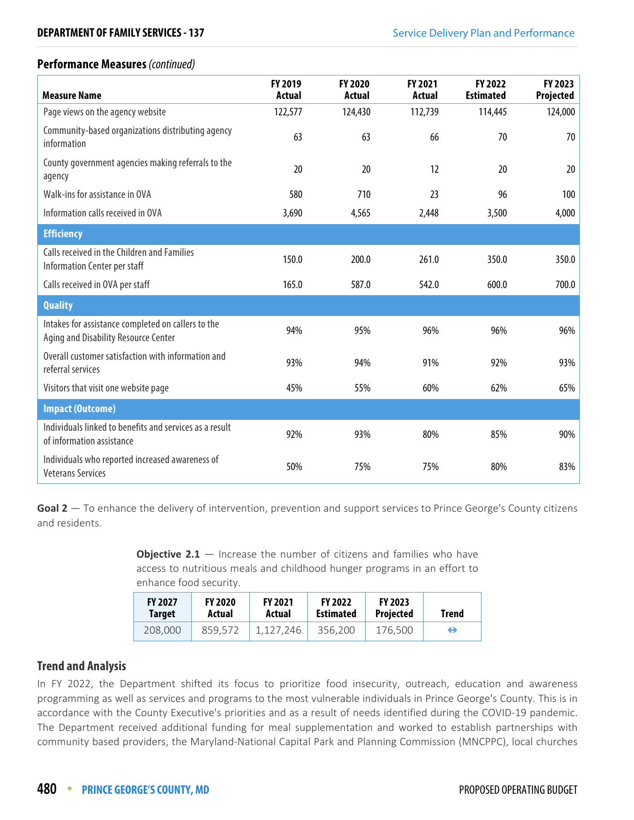#### **Performance Measures** (continued)

| <b>FY 2019</b><br><b>Actual</b> | <b>FY 2020</b><br>Actual | <b>FY 2021</b><br><b>Actual</b> | <b>FY 2022</b><br><b>Estimated</b> | FY 2023<br>Projected |
|---------------------------------|--------------------------|---------------------------------|------------------------------------|----------------------|
| 122,577                         | 124,430                  | 112,739                         | 114,445                            | 124,000              |
| 63                              | 63                       | 66                              | 70                                 | 70                   |
| 20                              | 20                       | 12                              | 20                                 | 20                   |
| 580                             | 710                      | 23                              | 96                                 | 100                  |
| 3,690                           | 4,565                    | 2,448                           | 3,500                              | 4,000                |
|                                 |                          |                                 |                                    |                      |
| 150.0                           | 200.0                    | 261.0                           | 350.0                              | 350.0                |
| 165.0                           | 587.0                    | 542.0                           | 600.0                              | 700.0                |
|                                 |                          |                                 |                                    |                      |
| 94%                             | 95%                      | 96%                             | 96%                                | 96%                  |
| 93%                             | 94%                      | 91%                             | 92%                                | 93%                  |
| 45%                             | 55%                      | 60%                             | 62%                                | 65%                  |
|                                 |                          |                                 |                                    |                      |
| 92%                             | 93%                      | 80%                             | 85%                                | 90%                  |
| 50%                             | 75%                      | 75%                             | 80%                                | 83%                  |
|                                 |                          |                                 |                                    |                      |

**Goal 2** — To enhance the delivery of intervention, prevention and support services to Prince George's County citizens and residents.

> **Objective 2.1** – Increase the number of citizens and families who have access to nutritious meals and childhood hunger programs in an effort to enhance food security.

| <b>FY 2027</b> | <b>FY 2020</b> | <b>FY 2021</b> | <b>FY 2022</b>   | <b>FY 2023</b>   | Trend |
|----------------|----------------|----------------|------------------|------------------|-------|
| <b>Target</b>  | Actual         | Actual         | <b>Estimated</b> | <b>Projected</b> |       |
| 208,000        | 859.572        | 1.127.246      | 356,200          | 176.500          | ⇔     |

## **Trend and Analysis**

In FY 2022, the Department shifted its focus to prioritize food insecurity, outreach, education and awareness programming as well as services and programs to the most vulnerable individuals in Prince George's County. This is in accordance with the County Executive's priorities and as a result of needs identified during the COVID-19 pandemic. The Department received additional funding for meal supplementation and worked to establish partnerships with community based providers, the Maryland-National Capital Park and Planning Commission (MNCPPC), local churches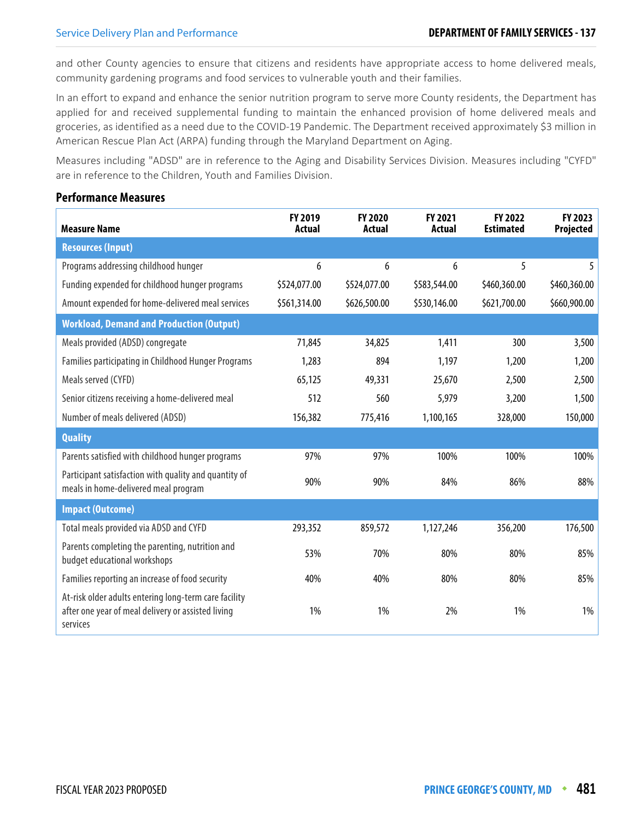and other County agencies to ensure that citizens and residents have appropriate access to home delivered meals, community gardening programs and food services to vulnerable youth and their families.

In an effort to expand and enhance the senior nutrition program to serve more County residents, the Department has applied for and received supplemental funding to maintain the enhanced provision of home delivered meals and groceries, as identified as a need due to the COVID-19 Pandemic. The Department received approximately \$3 million in American Rescue Plan Act (ARPA) funding through the Maryland Department on Aging.

Measures including "ADSD" are in reference to the Aging and Disability Services Division. Measures including "CYFD" are in reference to the Children, Youth and Families Division.

#### **Performance Measures**

| <b>Measure Name</b>                                                                                                     | FY 2019<br><b>Actual</b> | FY 2020<br>Actual | FY 2021<br><b>Actual</b> | FY 2022<br><b>Estimated</b> | FY 2023<br><b>Projected</b> |
|-------------------------------------------------------------------------------------------------------------------------|--------------------------|-------------------|--------------------------|-----------------------------|-----------------------------|
| <b>Resources (Input)</b>                                                                                                |                          |                   |                          |                             |                             |
| Programs addressing childhood hunger                                                                                    | 6                        | 6                 | 6                        | 5                           | 5                           |
| Funding expended for childhood hunger programs                                                                          | \$524,077.00             | \$524,077.00      | \$583,544.00             | \$460,360.00                | \$460,360.00                |
| Amount expended for home-delivered meal services                                                                        | \$561,314.00             | \$626,500.00      | \$530,146.00             | \$621,700.00                | \$660,900.00                |
| <b>Workload, Demand and Production (Output)</b>                                                                         |                          |                   |                          |                             |                             |
| Meals provided (ADSD) congregate                                                                                        | 71,845                   | 34,825            | 1,411                    | 300                         | 3,500                       |
| Families participating in Childhood Hunger Programs                                                                     | 1,283                    | 894               | 1,197                    | 1,200                       | 1,200                       |
| Meals served (CYFD)                                                                                                     | 65,125                   | 49,331            | 25,670                   | 2,500                       | 2,500                       |
| Senior citizens receiving a home-delivered meal                                                                         | 512                      | 560               | 5,979                    | 3,200                       | 1,500                       |
| Number of meals delivered (ADSD)                                                                                        | 156,382                  | 775,416           | 1,100,165                | 328,000                     | 150,000                     |
| <b>Quality</b>                                                                                                          |                          |                   |                          |                             |                             |
| Parents satisfied with childhood hunger programs                                                                        | 97%                      | 97%               | 100%                     | 100%                        | 100%                        |
| Participant satisfaction with quality and quantity of<br>meals in home-delivered meal program                           | 90%                      | 90%               | 84%                      | 86%                         | 88%                         |
| <b>Impact (Outcome)</b>                                                                                                 |                          |                   |                          |                             |                             |
| Total meals provided via ADSD and CYFD                                                                                  | 293,352                  | 859,572           | 1,127,246                | 356,200                     | 176,500                     |
| Parents completing the parenting, nutrition and<br>budget educational workshops                                         | 53%                      | 70%               | 80%                      | 80%                         | 85%                         |
| Families reporting an increase of food security                                                                         | 40%                      | 40%               | 80%                      | 80%                         | 85%                         |
| At-risk older adults entering long-term care facility<br>after one year of meal delivery or assisted living<br>services | 1%                       | 1%                | 2%                       | 1%                          | 1%                          |